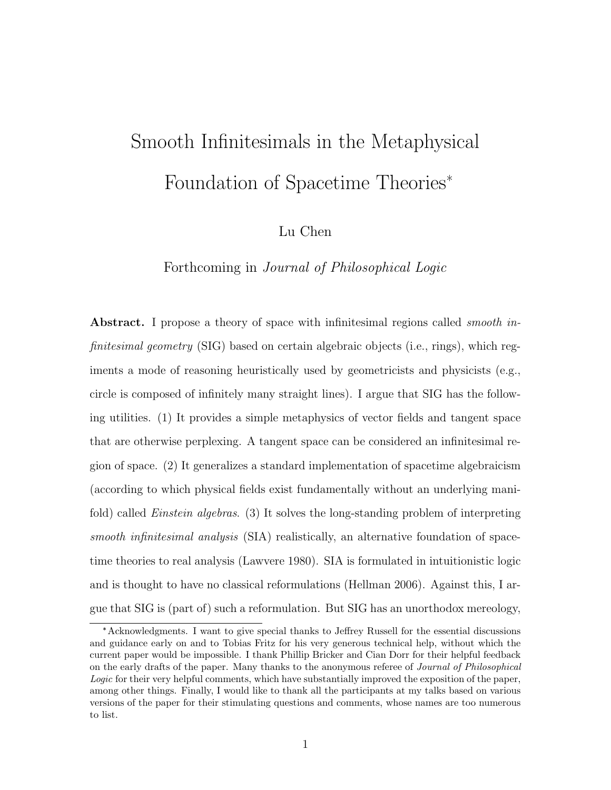# Smooth Infinitesimals in the Metaphysical Foundation of Spacetime Theories\*

Lu Chen

Forthcoming in Journal of Philosophical Logic

Abstract. I propose a theory of space with infinitesimal regions called *smooth in*finitesimal geometry (SIG) based on certain algebraic objects (i.e., rings), which regiments a mode of reasoning heuristically used by geometricists and physicists (e.g., circle is composed of infinitely many straight lines). I argue that SIG has the following utilities. (1) It provides a simple metaphysics of vector fields and tangent space that are otherwise perplexing. A tangent space can be considered an infinitesimal region of space. (2) It generalizes a standard implementation of spacetime algebraicism (according to which physical fields exist fundamentally without an underlying manifold) called *Einstein algebras.* (3) It solves the long-standing problem of interpreting smooth infinitesimal analysis (SIA) realistically, an alternative foundation of spacetime theories to real analysis (Lawvere 1980). SIA is formulated in intuitionistic logic and is thought to have no classical reformulations (Hellman 2006). Against this, I argue that SIG is (part of) such a reformulation. But SIG has an unorthodox mereology,

<sup>\*</sup>Acknowledgments. I want to give special thanks to Jeffrey Russell for the essential discussions and guidance early on and to Tobias Fritz for his very generous technical help, without which the current paper would be impossible. I thank Phillip Bricker and Cian Dorr for their helpful feedback on the early drafts of the paper. Many thanks to the anonymous referee of *Journal of Philosophical* Logic for their very helpful comments, which have substantially improved the exposition of the paper, among other things. Finally, I would like to thank all the participants at my talks based on various versions of the paper for their stimulating questions and comments, whose names are too numerous to list.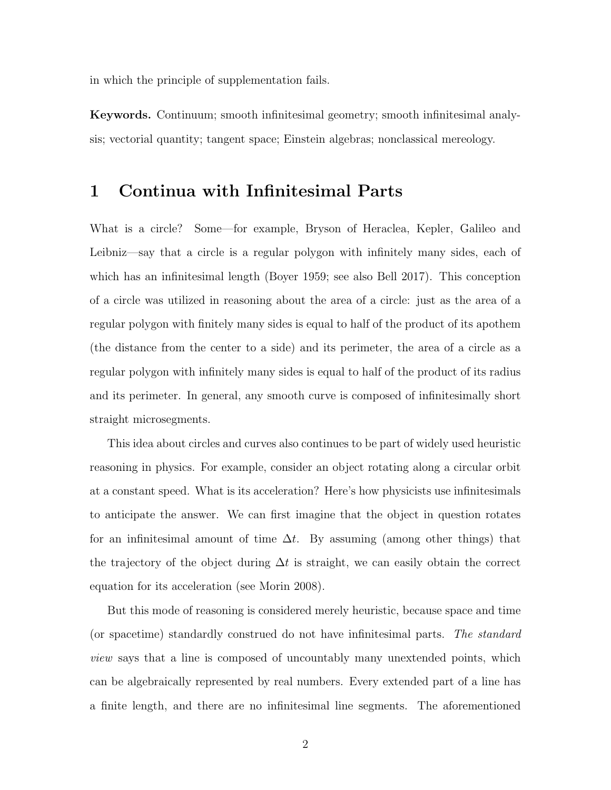in which the principle of supplementation fails.

Keywords. Continuum; smooth infinitesimal geometry; smooth infinitesimal analysis; vectorial quantity; tangent space; Einstein algebras; nonclassical mereology.

#### 1 Continua with Infinitesimal Parts

What is a circle? Some—for example, Bryson of Heraclea, Kepler, Galileo and Leibniz—say that a circle is a regular polygon with infinitely many sides, each of which has an infinitesimal length (Boyer 1959; see also Bell 2017). This conception of a circle was utilized in reasoning about the area of a circle: just as the area of a regular polygon with finitely many sides is equal to half of the product of its apothem (the distance from the center to a side) and its perimeter, the area of a circle as a regular polygon with infinitely many sides is equal to half of the product of its radius and its perimeter. In general, any smooth curve is composed of infinitesimally short straight microsegments.

This idea about circles and curves also continues to be part of widely used heuristic reasoning in physics. For example, consider an object rotating along a circular orbit at a constant speed. What is its acceleration? Here's how physicists use infinitesimals to anticipate the answer. We can first imagine that the object in question rotates for an infinitesimal amount of time  $\Delta t$ . By assuming (among other things) that the trajectory of the object during  $\Delta t$  is straight, we can easily obtain the correct equation for its acceleration (see Morin 2008).

But this mode of reasoning is considered merely heuristic, because space and time (or spacetime) standardly construed do not have infinitesimal parts. The standard view says that a line is composed of uncountably many unextended points, which can be algebraically represented by real numbers. Every extended part of a line has a finite length, and there are no infinitesimal line segments. The aforementioned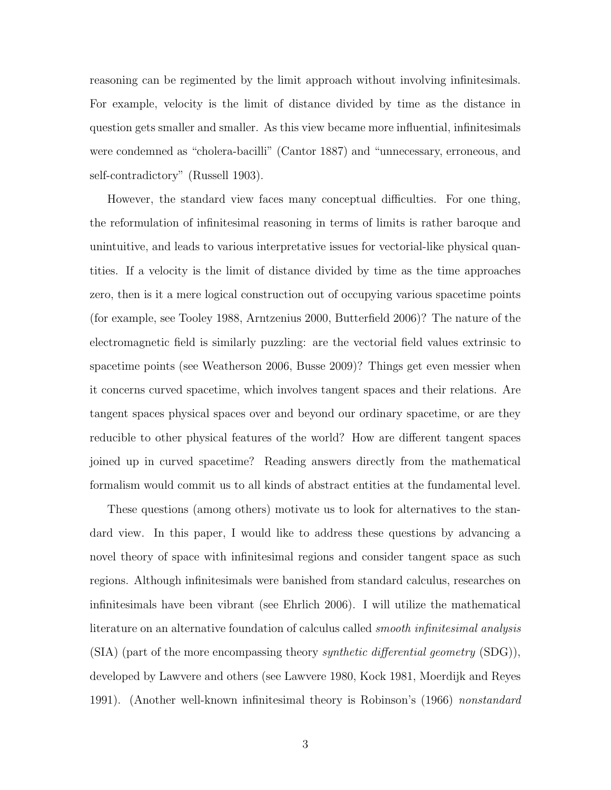reasoning can be regimented by the limit approach without involving infinitesimals. For example, velocity is the limit of distance divided by time as the distance in question gets smaller and smaller. As this view became more influential, infinitesimals were condemned as "cholera-bacilli" (Cantor 1887) and "unnecessary, erroneous, and self-contradictory" (Russell 1903).

However, the standard view faces many conceptual difficulties. For one thing, the reformulation of infinitesimal reasoning in terms of limits is rather baroque and unintuitive, and leads to various interpretative issues for vectorial-like physical quantities. If a velocity is the limit of distance divided by time as the time approaches zero, then is it a mere logical construction out of occupying various spacetime points (for example, see Tooley 1988, Arntzenius 2000, Butterfield 2006)? The nature of the electromagnetic field is similarly puzzling: are the vectorial field values extrinsic to spacetime points (see Weatherson 2006, Busse 2009)? Things get even messier when it concerns curved spacetime, which involves tangent spaces and their relations. Are tangent spaces physical spaces over and beyond our ordinary spacetime, or are they reducible to other physical features of the world? How are different tangent spaces joined up in curved spacetime? Reading answers directly from the mathematical formalism would commit us to all kinds of abstract entities at the fundamental level.

These questions (among others) motivate us to look for alternatives to the standard view. In this paper, I would like to address these questions by advancing a novel theory of space with infinitesimal regions and consider tangent space as such regions. Although infinitesimals were banished from standard calculus, researches on infinitesimals have been vibrant (see Ehrlich 2006). I will utilize the mathematical literature on an alternative foundation of calculus called *smooth infinitesimal analysis*  $(SIA)$  (part of the more encompassing theory *synthetic differential geometry*  $(SDG)$ ), developed by Lawvere and others (see Lawvere 1980, Kock 1981, Moerdijk and Reyes 1991). (Another well-known infinitesimal theory is Robinson's (1966) nonstandard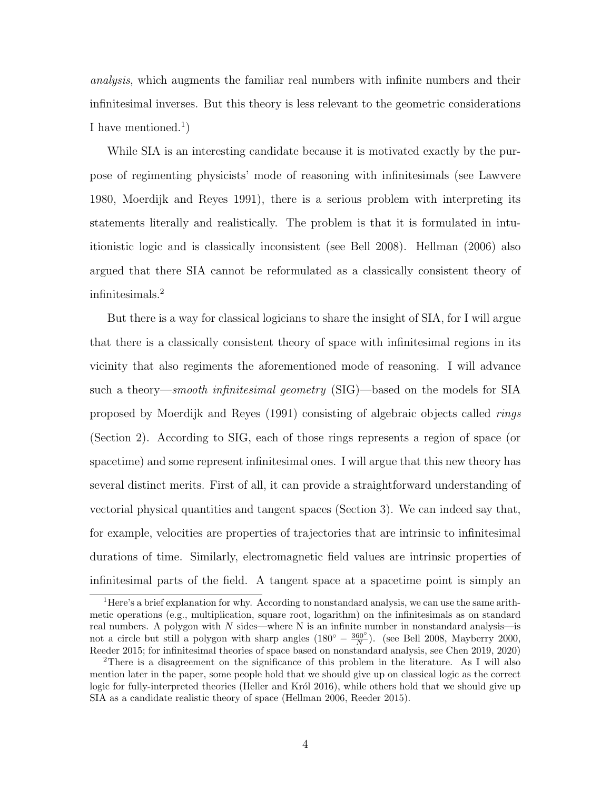analysis, which augments the familiar real numbers with infinite numbers and their infinitesimal inverses. But this theory is less relevant to the geometric considerations I have mentioned.<sup>1</sup>)

While SIA is an interesting candidate because it is motivated exactly by the purpose of regimenting physicists' mode of reasoning with infinitesimals (see Lawvere 1980, Moerdijk and Reyes 1991), there is a serious problem with interpreting its statements literally and realistically. The problem is that it is formulated in intuitionistic logic and is classically inconsistent (see Bell 2008). Hellman (2006) also argued that there SIA cannot be reformulated as a classically consistent theory of infinitesimals.<sup>2</sup>

But there is a way for classical logicians to share the insight of SIA, for I will argue that there is a classically consistent theory of space with infinitesimal regions in its vicinity that also regiments the aforementioned mode of reasoning. I will advance such a theory—smooth infinitesimal geometry (SIG)—based on the models for SIA proposed by Moerdijk and Reyes (1991) consisting of algebraic objects called rings (Section 2). According to SIG, each of those rings represents a region of space (or spacetime) and some represent infinitesimal ones. I will argue that this new theory has several distinct merits. First of all, it can provide a straightforward understanding of vectorial physical quantities and tangent spaces (Section 3). We can indeed say that, for example, velocities are properties of trajectories that are intrinsic to infinitesimal durations of time. Similarly, electromagnetic field values are intrinsic properties of infinitesimal parts of the field. A tangent space at a spacetime point is simply an

<sup>1</sup>Here's a brief explanation for why. According to nonstandard analysis, we can use the same arithmetic operations (e.g., multiplication, square root, logarithm) on the infinitesimals as on standard real numbers. A polygon with  $N$  sides—where N is an infinite number in nonstandard analysis—is not a circle but still a polygon with sharp angles  $(180° - \frac{360°}{N})$ . (see Bell 2008, Mayberry 2000, Reeder 2015; for infinitesimal theories of space based on nonstandard analysis, see Chen 2019, 2020)

<sup>2</sup>There is a disagreement on the significance of this problem in the literature. As I will also mention later in the paper, some people hold that we should give up on classical logic as the correct logic for fully-interpreted theories (Heller and Król 2016), while others hold that we should give up SIA as a candidate realistic theory of space (Hellman 2006, Reeder 2015).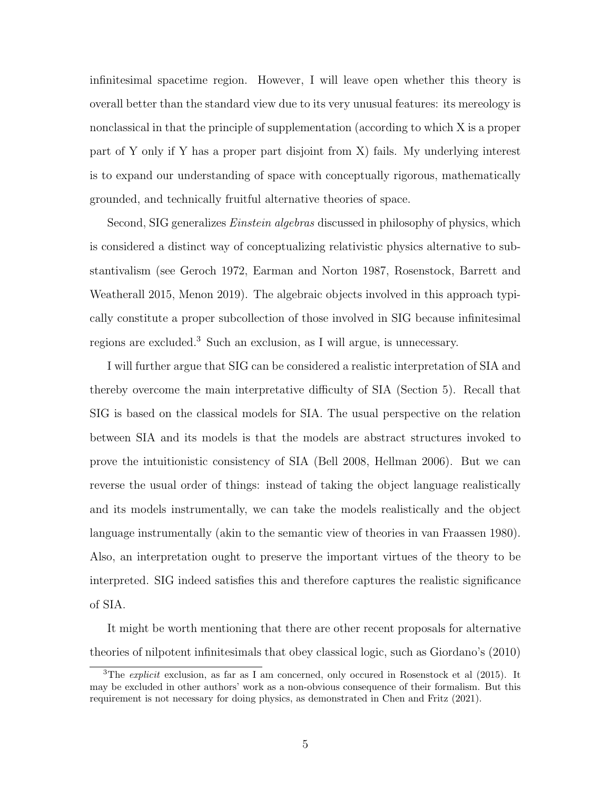infinitesimal spacetime region. However, I will leave open whether this theory is overall better than the standard view due to its very unusual features: its mereology is nonclassical in that the principle of supplementation (according to which X is a proper part of Y only if Y has a proper part disjoint from X) fails. My underlying interest is to expand our understanding of space with conceptually rigorous, mathematically grounded, and technically fruitful alternative theories of space.

Second, SIG generalizes *Einstein algebras* discussed in philosophy of physics, which is considered a distinct way of conceptualizing relativistic physics alternative to substantivalism (see Geroch 1972, Earman and Norton 1987, Rosenstock, Barrett and Weatherall 2015, Menon 2019). The algebraic objects involved in this approach typically constitute a proper subcollection of those involved in SIG because infinitesimal regions are excluded.<sup>3</sup> Such an exclusion, as I will argue, is unnecessary.

I will further argue that SIG can be considered a realistic interpretation of SIA and thereby overcome the main interpretative difficulty of SIA (Section 5). Recall that SIG is based on the classical models for SIA. The usual perspective on the relation between SIA and its models is that the models are abstract structures invoked to prove the intuitionistic consistency of SIA (Bell 2008, Hellman 2006). But we can reverse the usual order of things: instead of taking the object language realistically and its models instrumentally, we can take the models realistically and the object language instrumentally (akin to the semantic view of theories in van Fraassen 1980). Also, an interpretation ought to preserve the important virtues of the theory to be interpreted. SIG indeed satisfies this and therefore captures the realistic significance of SIA.

It might be worth mentioning that there are other recent proposals for alternative theories of nilpotent infinitesimals that obey classical logic, such as Giordano's (2010)

<sup>&</sup>lt;sup>3</sup>The *explicit* exclusion, as far as I am concerned, only occured in Rosenstock et al (2015). It may be excluded in other authors' work as a non-obvious consequence of their formalism. But this requirement is not necessary for doing physics, as demonstrated in Chen and Fritz (2021).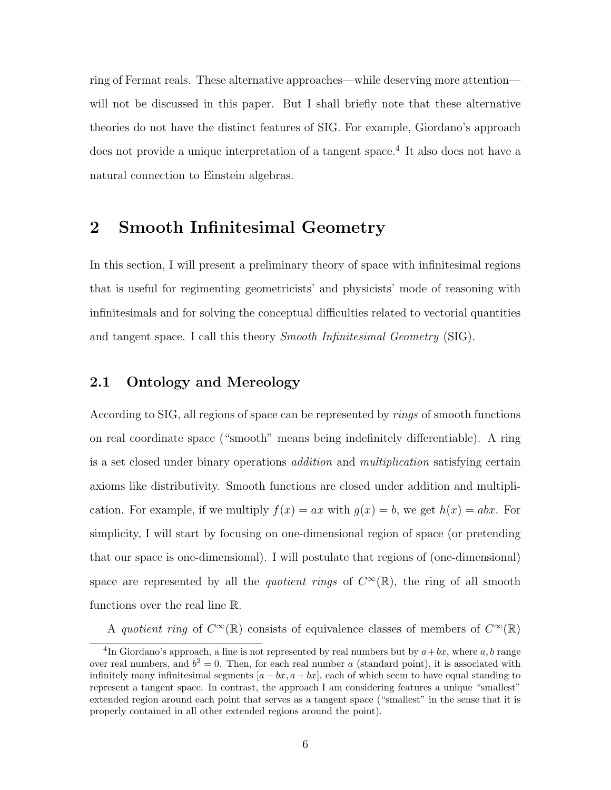ring of Fermat reals. These alternative approaches—while deserving more attention will not be discussed in this paper. But I shall briefly note that these alternative theories do not have the distinct features of SIG. For example, Giordano's approach does not provide a unique interpretation of a tangent space.<sup>4</sup> It also does not have a natural connection to Einstein algebras.

## 2 Smooth Infinitesimal Geometry

In this section, I will present a preliminary theory of space with infinitesimal regions that is useful for regimenting geometricists' and physicists' mode of reasoning with infinitesimals and for solving the conceptual difficulties related to vectorial quantities and tangent space. I call this theory *Smooth Infinitesimal Geometry* (SIG).

#### 2.1 Ontology and Mereology

According to SIG, all regions of space can be represented by rings of smooth functions on real coordinate space ("smooth" means being indefinitely differentiable). A ring is a set closed under binary operations addition and multiplication satisfying certain axioms like distributivity. Smooth functions are closed under addition and multiplication. For example, if we multiply  $f(x) = ax$  with  $g(x) = b$ , we get  $h(x) = abx$ . For simplicity, I will start by focusing on one-dimensional region of space (or pretending that our space is one-dimensional). I will postulate that regions of (one-dimensional) space are represented by all the *quotient rings* of  $C^{\infty}(\mathbb{R})$ , the ring of all smooth functions over the real line R.

A quotient ring of  $C^{\infty}(\mathbb{R})$  consists of equivalence classes of members of  $C^{\infty}(\mathbb{R})$ 

<sup>&</sup>lt;sup>4</sup>In Giordano's approach, a line is not represented by real numbers but by  $a+bx$ , where a, b range over real numbers, and  $b^2 = 0$ . Then, for each real number a (standard point), it is associated with infinitely many infinitesimal segments  $[a - bx, a + bx]$ , each of which seem to have equal standing to represent a tangent space. In contrast, the approach I am considering features a unique "smallest" extended region around each point that serves as a tangent space ("smallest" in the sense that it is properly contained in all other extended regions around the point).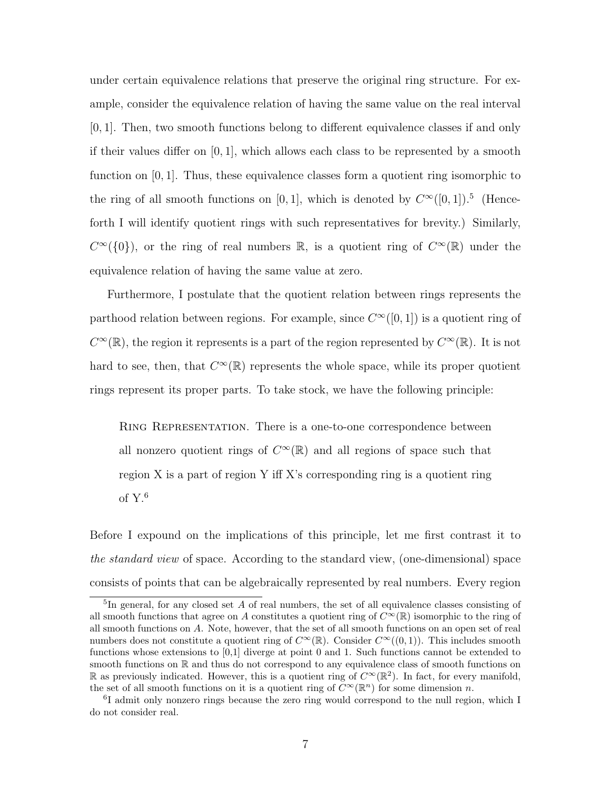under certain equivalence relations that preserve the original ring structure. For example, consider the equivalence relation of having the same value on the real interval [0, 1]. Then, two smooth functions belong to different equivalence classes if and only if their values differ on  $[0, 1]$ , which allows each class to be represented by a smooth function on  $[0, 1]$ . Thus, these equivalence classes form a quotient ring isomorphic to the ring of all smooth functions on [0, 1], which is denoted by  $C^{\infty}([0,1])$ .<sup>5</sup> (Henceforth I will identify quotient rings with such representatives for brevity.) Similarly,  $C^{\infty}(\{0\})$ , or the ring of real numbers R, is a quotient ring of  $C^{\infty}(\mathbb{R})$  under the equivalence relation of having the same value at zero.

Furthermore, I postulate that the quotient relation between rings represents the parthood relation between regions. For example, since  $C^{\infty}([0,1])$  is a quotient ring of  $C^{\infty}(\mathbb{R})$ , the region it represents is a part of the region represented by  $C^{\infty}(\mathbb{R})$ . It is not hard to see, then, that  $C^{\infty}(\mathbb{R})$  represents the whole space, while its proper quotient rings represent its proper parts. To take stock, we have the following principle:

Ring Representation. There is a one-to-one correspondence between all nonzero quotient rings of  $C^{\infty}(\mathbb{R})$  and all regions of space such that region X is a part of region Y iff X's corresponding ring is a quotient ring of Y.<sup>6</sup>

Before I expound on the implications of this principle, let me first contrast it to the standard view of space. According to the standard view, (one-dimensional) space consists of points that can be algebraically represented by real numbers. Every region

<sup>&</sup>lt;sup>5</sup>In general, for any closed set A of real numbers, the set of all equivalence classes consisting of all smooth functions that agree on A constitutes a quotient ring of  $C^{\infty}(\mathbb{R})$  isomorphic to the ring of all smooth functions on A. Note, however, that the set of all smooth functions on an open set of real numbers does not constitute a quotient ring of  $C^{\infty}(\mathbb{R})$ . Consider  $C^{\infty}((0,1))$ . This includes smooth functions whose extensions to [0,1] diverge at point 0 and 1. Such functions cannot be extended to smooth functions on  $\mathbb R$  and thus do not correspond to any equivalence class of smooth functions on R as previously indicated. However, this is a quotient ring of  $C^{\infty}(\mathbb{R}^2)$ . In fact, for every manifold, the set of all smooth functions on it is a quotient ring of  $\overline{C}^{\infty}(\mathbb{R}^{n})$  for some dimension n.

<sup>6</sup> I admit only nonzero rings because the zero ring would correspond to the null region, which I do not consider real.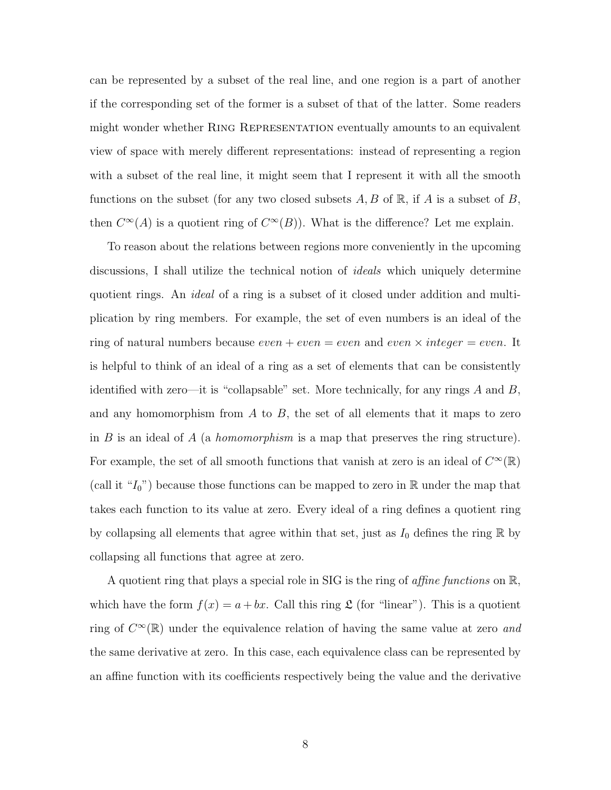can be represented by a subset of the real line, and one region is a part of another if the corresponding set of the former is a subset of that of the latter. Some readers might wonder whether Ring Representation eventually amounts to an equivalent view of space with merely different representations: instead of representing a region with a subset of the real line, it might seem that I represent it with all the smooth functions on the subset (for any two closed subsets  $A, B$  of  $\mathbb{R}$ , if A is a subset of B, then  $C^{\infty}(A)$  is a quotient ring of  $C^{\infty}(B)$ . What is the difference? Let me explain.

To reason about the relations between regions more conveniently in the upcoming discussions, I shall utilize the technical notion of ideals which uniquely determine quotient rings. An *ideal* of a ring is a subset of it closed under addition and multiplication by ring members. For example, the set of even numbers is an ideal of the ring of natural numbers because  $even + even = even$  and  $even \times integer = even$ . It is helpful to think of an ideal of a ring as a set of elements that can be consistently identified with zero—it is "collapsable" set. More technically, for any rings  $A$  and  $B$ , and any homomorphism from  $A$  to  $B$ , the set of all elements that it maps to zero in  $B$  is an ideal of  $A$  (a *homomorphism* is a map that preserves the ring structure). For example, the set of all smooth functions that vanish at zero is an ideal of  $C^{\infty}(\mathbb{R})$ (call it " $I_0$ ") because those functions can be mapped to zero in R under the map that takes each function to its value at zero. Every ideal of a ring defines a quotient ring by collapsing all elements that agree within that set, just as  $I_0$  defines the ring  $\mathbb R$  by collapsing all functions that agree at zero.

A quotient ring that plays a special role in SIG is the ring of *affine functions* on  $\mathbb{R}$ , which have the form  $f(x) = a + bx$ . Call this ring  $\mathfrak{L}$  (for "linear"). This is a quotient ring of  $C^{\infty}(\mathbb{R})$  under the equivalence relation of having the same value at zero and the same derivative at zero. In this case, each equivalence class can be represented by an affine function with its coefficients respectively being the value and the derivative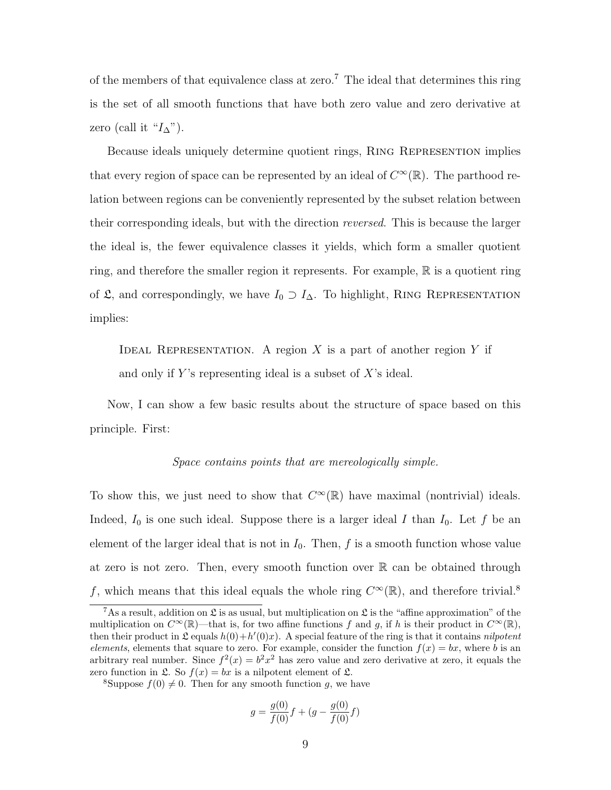of the members of that equivalence class at zero.<sup>7</sup> The ideal that determines this ring is the set of all smooth functions that have both zero value and zero derivative at zero (call it " $I_{\Delta}$ ").

Because ideals uniquely determine quotient rings, Ring Represention implies that every region of space can be represented by an ideal of  $C^{\infty}(\mathbb{R})$ . The parthood relation between regions can be conveniently represented by the subset relation between their corresponding ideals, but with the direction reversed. This is because the larger the ideal is, the fewer equivalence classes it yields, which form a smaller quotient ring, and therefore the smaller region it represents. For example, R is a quotient ring of  $\mathfrak{L}$ , and correspondingly, we have  $I_0 \supset I_{\Delta}$ . To highlight, RING REPRESENTATION implies:

IDEAL REPRESENTATION. A region X is a part of another region Y if and only if Y's representing ideal is a subset of  $X$ 's ideal.

Now, I can show a few basic results about the structure of space based on this principle. First:

#### Space contains points that are mereologically simple.

To show this, we just need to show that  $C^{\infty}(\mathbb{R})$  have maximal (nontrivial) ideals. Indeed,  $I_0$  is one such ideal. Suppose there is a larger ideal I than  $I_0$ . Let f be an element of the larger ideal that is not in  $I_0$ . Then, f is a smooth function whose value at zero is not zero. Then, every smooth function over  $\mathbb R$  can be obtained through f, which means that this ideal equals the whole ring  $C^{\infty}(\mathbb{R})$ , and therefore trivial.<sup>8</sup>

$$
g = \frac{g(0)}{f(0)}f + (g - \frac{g(0)}{f(0)}f)
$$

<sup>&</sup>lt;sup>7</sup>As a result, addition on  $\mathfrak{L}$  is as usual, but multiplication on  $\mathfrak{L}$  is the "affine approximation" of the multiplication on  $C^{\infty}(\mathbb{R})$ —that is, for two affine functions f and g, if h is their product in  $C^{\infty}(\mathbb{R})$ , then their product in  $\mathfrak L$  equals  $h(0) + h'(0)x$ . A special feature of the ring is that it contains *nilpotent* elements, elements that square to zero. For example, consider the function  $f(x) = bx$ , where b is an arbitrary real number. Since  $f^2(x) = b^2x^2$  has zero value and zero derivative at zero, it equals the zero function in  $\mathfrak{L}$ . So  $f(x) = bx$  is a nilpotent element of  $\mathfrak{L}$ .

<sup>&</sup>lt;sup>8</sup>Suppose  $f(0) \neq 0$ . Then for any smooth function g, we have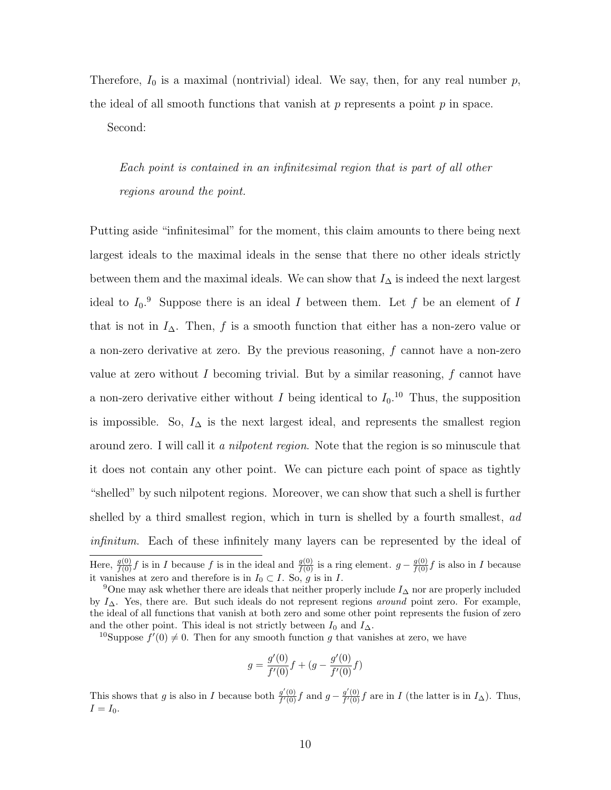Therefore,  $I_0$  is a maximal (nontrivial) ideal. We say, then, for any real number  $p$ , the ideal of all smooth functions that vanish at  $p$  represents a point  $p$  in space.

Second:

Each point is contained in an infinitesimal region that is part of all other regions around the point.

Putting aside "infinitesimal" for the moment, this claim amounts to there being next largest ideals to the maximal ideals in the sense that there no other ideals strictly between them and the maximal ideals. We can show that  $I_{\Delta}$  is indeed the next largest ideal to  $I_0$ . Suppose there is an ideal I between them. Let f be an element of I that is not in  $I_{\Delta}$ . Then, f is a smooth function that either has a non-zero value or a non-zero derivative at zero. By the previous reasoning,  $f$  cannot have a non-zero value at zero without I becoming trivial. But by a similar reasoning,  $f$  cannot have a non-zero derivative either without I being identical to  $I_0$ .<sup>10</sup> Thus, the supposition is impossible. So,  $I_{\Delta}$  is the next largest ideal, and represents the smallest region around zero. I will call it a *nilpotent region*. Note that the region is so minuscule that it does not contain any other point. We can picture each point of space as tightly "shelled" by such nilpotent regions. Moreover, we can show that such a shell is further shelled by a third smallest region, which in turn is shelled by a fourth smallest, ad infinitum. Each of these infinitely many layers can be represented by the ideal of Here,  $\frac{g(0)}{f(0)}f$  is in I because f is in the ideal and  $\frac{g(0)}{f(0)}$  is a ring element.  $g - \frac{g(0)}{f(0)}f$  is also in I because it vanishes at zero and therefore is in  $I_0 \subset I$ . So, g is in I.

<sup>10</sup>Suppose  $f'(0) \neq 0$ . Then for any smooth function g that vanishes at zero, we have

$$
g = \frac{g'(0)}{f'(0)}f + (g - \frac{g'(0)}{f'(0)}f)
$$

This shows that g is also in I because both  $\frac{g'(0)}{f'(0)}$  $\frac{g'(0)}{f'(0)}f$  and  $g - \frac{g'(0)}{f'(0)}$  $\frac{g'(0)}{f'(0)}f$  are in I (the latter is in  $I_{\Delta}$ ). Thus,  $I = I_0.$ 

<sup>&</sup>lt;sup>9</sup>One may ask whether there are ideals that neither properly include  $I_{\Delta}$  nor are properly included by  $I_{\Delta}$ . Yes, there are. But such ideals do not represent regions around point zero. For example, the ideal of all functions that vanish at both zero and some other point represents the fusion of zero and the other point. This ideal is not strictly between  $I_0$  and  $I_{\Delta}$ .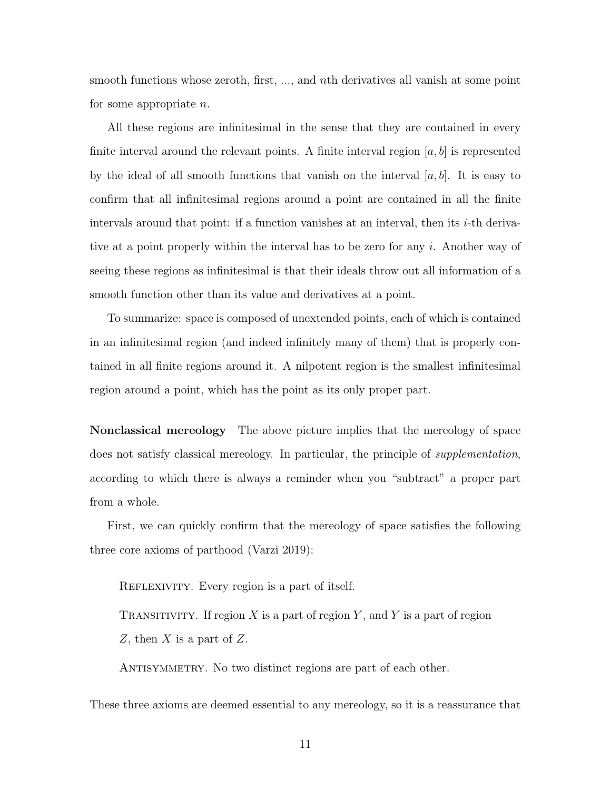smooth functions whose zeroth, first, ..., and nth derivatives all vanish at some point for some appropriate n.

All these regions are infinitesimal in the sense that they are contained in every finite interval around the relevant points. A finite interval region  $[a, b]$  is represented by the ideal of all smooth functions that vanish on the interval  $[a, b]$ . It is easy to confirm that all infinitesimal regions around a point are contained in all the finite intervals around that point: if a function vanishes at an interval, then its  $i$ -th derivative at a point properly within the interval has to be zero for any i. Another way of seeing these regions as infinitesimal is that their ideals throw out all information of a smooth function other than its value and derivatives at a point.

To summarize: space is composed of unextended points, each of which is contained in an infinitesimal region (and indeed infinitely many of them) that is properly contained in all finite regions around it. A nilpotent region is the smallest infinitesimal region around a point, which has the point as its only proper part.

Nonclassical mereology The above picture implies that the mereology of space does not satisfy classical mereology. In particular, the principle of *supplementation*, according to which there is always a reminder when you "subtract" a proper part from a whole.

First, we can quickly confirm that the mereology of space satisfies the following three core axioms of parthood (Varzi 2019):

REFLEXIVITY. Every region is a part of itself.

TRANSITIVITY. If region X is a part of region Y, and Y is a part of region Z, then  $X$  is a part of  $Z$ .

ANTISYMMETRY. No two distinct regions are part of each other.

These three axioms are deemed essential to any mereology, so it is a reassurance that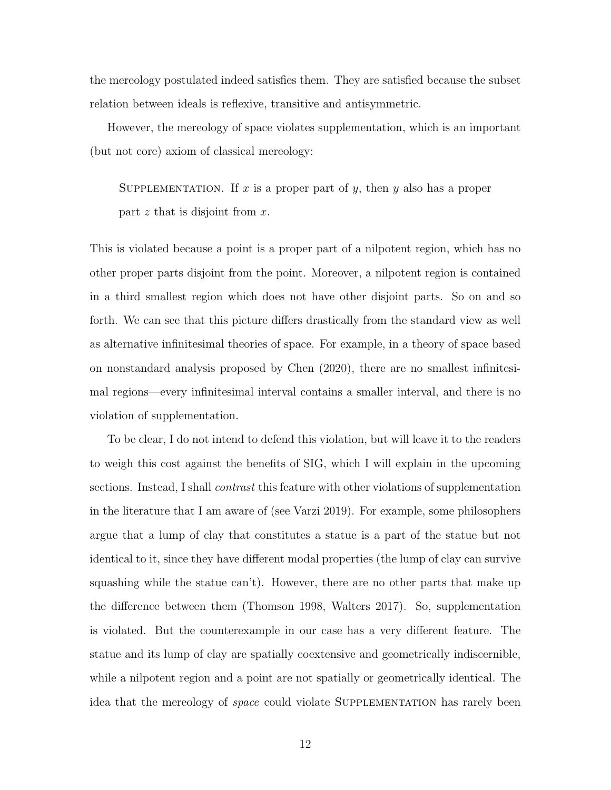the mereology postulated indeed satisfies them. They are satisfied because the subset relation between ideals is reflexive, transitive and antisymmetric.

However, the mereology of space violates supplementation, which is an important (but not core) axiom of classical mereology:

SUPPLEMENTATION. If x is a proper part of y, then y also has a proper part  $z$  that is disjoint from  $x$ .

This is violated because a point is a proper part of a nilpotent region, which has no other proper parts disjoint from the point. Moreover, a nilpotent region is contained in a third smallest region which does not have other disjoint parts. So on and so forth. We can see that this picture differs drastically from the standard view as well as alternative infinitesimal theories of space. For example, in a theory of space based on nonstandard analysis proposed by Chen (2020), there are no smallest infinitesimal regions—every infinitesimal interval contains a smaller interval, and there is no violation of supplementation.

To be clear, I do not intend to defend this violation, but will leave it to the readers to weigh this cost against the benefits of SIG, which I will explain in the upcoming sections. Instead, I shall *contrast* this feature with other violations of supplementation in the literature that I am aware of (see Varzi 2019). For example, some philosophers argue that a lump of clay that constitutes a statue is a part of the statue but not identical to it, since they have different modal properties (the lump of clay can survive squashing while the statue can't). However, there are no other parts that make up the difference between them (Thomson 1998, Walters 2017). So, supplementation is violated. But the counterexample in our case has a very different feature. The statue and its lump of clay are spatially coextensive and geometrically indiscernible, while a nilpotent region and a point are not spatially or geometrically identical. The idea that the mereology of *space* could violate SUPPLEMENTATION has rarely been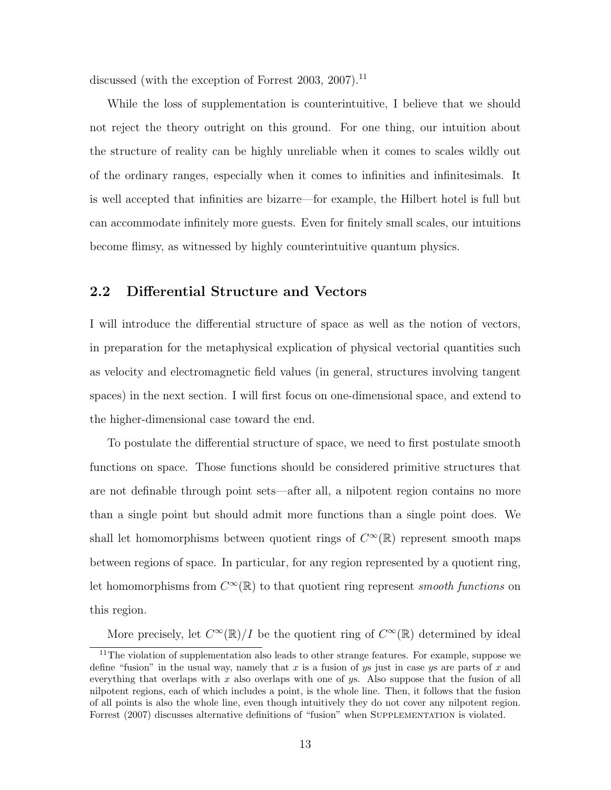discussed (with the exception of Forrest 2003, 2007).<sup>11</sup>

While the loss of supplementation is counterintuitive, I believe that we should not reject the theory outright on this ground. For one thing, our intuition about the structure of reality can be highly unreliable when it comes to scales wildly out of the ordinary ranges, especially when it comes to infinities and infinitesimals. It is well accepted that infinities are bizarre—for example, the Hilbert hotel is full but can accommodate infinitely more guests. Even for finitely small scales, our intuitions become flimsy, as witnessed by highly counterintuitive quantum physics.

#### 2.2 Differential Structure and Vectors

I will introduce the differential structure of space as well as the notion of vectors, in preparation for the metaphysical explication of physical vectorial quantities such as velocity and electromagnetic field values (in general, structures involving tangent spaces) in the next section. I will first focus on one-dimensional space, and extend to the higher-dimensional case toward the end.

To postulate the differential structure of space, we need to first postulate smooth functions on space. Those functions should be considered primitive structures that are not definable through point sets—after all, a nilpotent region contains no more than a single point but should admit more functions than a single point does. We shall let homomorphisms between quotient rings of  $C^{\infty}(\mathbb{R})$  represent smooth maps between regions of space. In particular, for any region represented by a quotient ring, Let homomorphisms from  $C^{\infty}(\mathbb{R})$  to that quotient ring represent smooth functions on this region.

More precisely, let  $C^{\infty}(\mathbb{R})/I$  be the quotient ring of  $C^{\infty}(\mathbb{R})$  determined by ideal

 $11$ The violation of supplementation also leads to other strange features. For example, suppose we define "fusion" in the usual way, namely that x is a fusion of ys just in case ys are parts of x and everything that overlaps with x also overlaps with one of  $y_s$ . Also suppose that the fusion of all nilpotent regions, each of which includes a point, is the whole line. Then, it follows that the fusion of all points is also the whole line, even though intuitively they do not cover any nilpotent region. Forrest (2007) discusses alternative definitions of "fusion" when SUPPLEMENTATION is violated.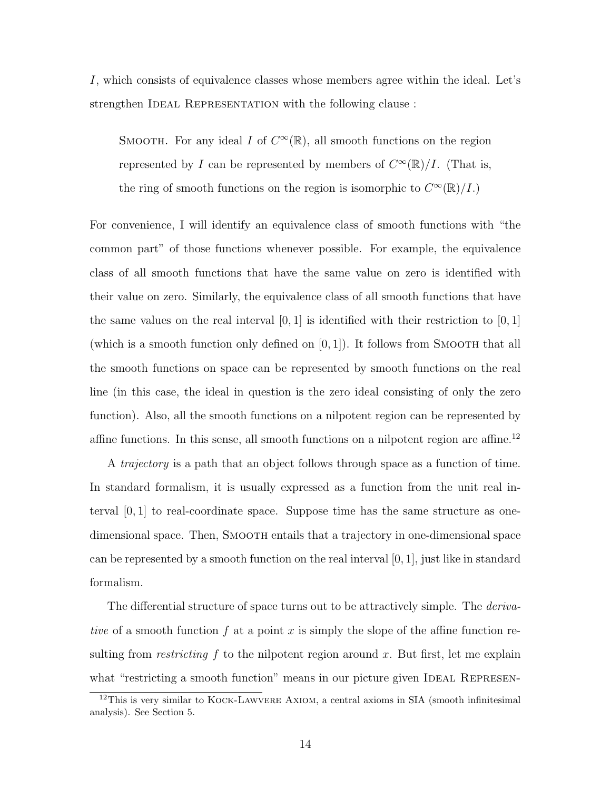I, which consists of equivalence classes whose members agree within the ideal. Let's strengthen IDEAL REPRESENTATION with the following clause :

SMOOTH. For any ideal I of  $C^{\infty}(\mathbb{R})$ , all smooth functions on the region represented by I can be represented by members of  $C^{\infty}(\mathbb{R})/I$ . (That is, the ring of smooth functions on the region is isomorphic to  $C^{\infty}(\mathbb{R})/I$ .

For convenience, I will identify an equivalence class of smooth functions with "the common part" of those functions whenever possible. For example, the equivalence class of all smooth functions that have the same value on zero is identified with their value on zero. Similarly, the equivalence class of all smooth functions that have the same values on the real interval  $[0, 1]$  is identified with their restriction to  $[0, 1]$ (which is a smooth function only defined on  $[0, 1]$ ). It follows from SMOOTH that all the smooth functions on space can be represented by smooth functions on the real line (in this case, the ideal in question is the zero ideal consisting of only the zero function). Also, all the smooth functions on a nilpotent region can be represented by affine functions. In this sense, all smooth functions on a nilpotent region are affine.<sup>12</sup>

A trajectory is a path that an object follows through space as a function of time. In standard formalism, it is usually expressed as a function from the unit real interval  $[0, 1]$  to real-coordinate space. Suppose time has the same structure as onedimensional space. Then, SMOOTH entails that a trajectory in one-dimensional space can be represented by a smooth function on the real interval  $[0, 1]$ , just like in standard formalism.

The differential structure of space turns out to be attractively simple. The *deriva*tive of a smooth function  $f$  at a point  $x$  is simply the slope of the affine function resulting from *restricting*  $f$  to the nilpotent region around  $x$ . But first, let me explain what "restricting a smooth function" means in our picture given IDEAL REPRESEN-

<sup>12</sup>This is very similar to Kock-Lawvere Axiom, a central axioms in SIA (smooth infinitesimal analysis). See Section 5.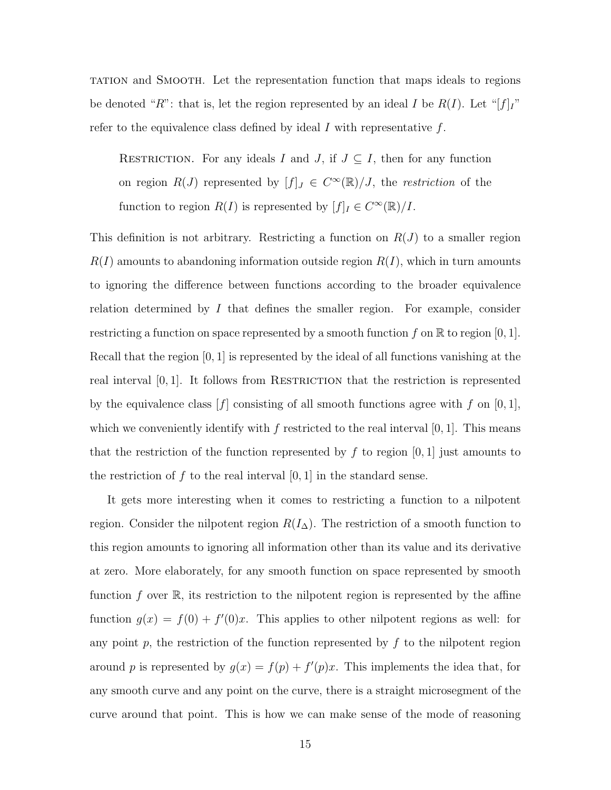tation and Smooth. Let the representation function that maps ideals to regions be denoted "R": that is, let the region represented by an ideal I be  $R(I)$ . Let "[f]<sub>I</sub>" refer to the equivalence class defined by ideal  $I$  with representative  $f$ .

RESTRICTION. For any ideals I and J, if  $J \subseteq I$ , then for any function on region  $R(J)$  represented by  $[f]_J \in C^{\infty}(\mathbb{R})/J$ , the *restriction* of the function to region  $R(I)$  is represented by  $[f]_I \in C^{\infty}(\mathbb{R})/I$ .

This definition is not arbitrary. Restricting a function on  $R(J)$  to a smaller region  $R(I)$  amounts to abandoning information outside region  $R(I)$ , which in turn amounts to ignoring the difference between functions according to the broader equivalence relation determined by  $I$  that defines the smaller region. For example, consider restricting a function on space represented by a smooth function f on  $\mathbb R$  to region  $[0, 1]$ . Recall that the region [0, 1] is represented by the ideal of all functions vanishing at the real interval  $[0, 1]$ . It follows from RESTRICTION that the restriction is represented by the equivalence class  $[f]$  consisting of all smooth functions agree with f on  $[0, 1]$ , which we conveniently identify with f restricted to the real interval  $[0, 1]$ . This means that the restriction of the function represented by  $f$  to region [0, 1] just amounts to the restriction of f to the real interval  $[0, 1]$  in the standard sense.

It gets more interesting when it comes to restricting a function to a nilpotent region. Consider the nilpotent region  $R(I_{\Delta})$ . The restriction of a smooth function to this region amounts to ignoring all information other than its value and its derivative at zero. More elaborately, for any smooth function on space represented by smooth function f over  $\mathbb R$ , its restriction to the nilpotent region is represented by the affine function  $g(x) = f(0) + f'(0)x$ . This applies to other nilpotent regions as well: for any point  $p$ , the restriction of the function represented by  $f$  to the nilpotent region around p is represented by  $g(x) = f(p) + f'(p)x$ . This implements the idea that, for any smooth curve and any point on the curve, there is a straight microsegment of the curve around that point. This is how we can make sense of the mode of reasoning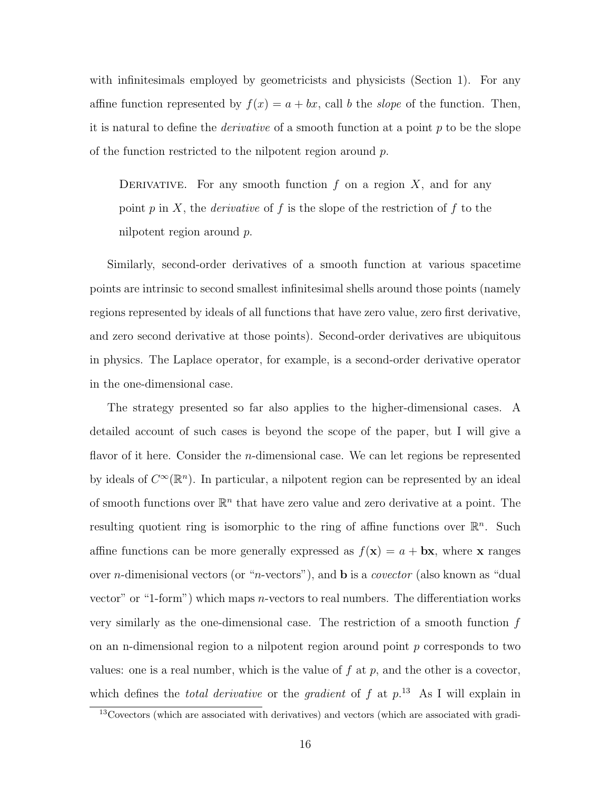with infinitesimals employed by geometricists and physicists (Section 1). For any affine function represented by  $f(x) = a + bx$ , call b the slope of the function. Then, it is natural to define the *derivative* of a smooth function at a point  $p$  to be the slope of the function restricted to the nilpotent region around  $p$ .

DERIVATIVE. For any smooth function  $f$  on a region  $X$ , and for any point p in X, the *derivative* of f is the slope of the restriction of f to the nilpotent region around p.

Similarly, second-order derivatives of a smooth function at various spacetime points are intrinsic to second smallest infinitesimal shells around those points (namely regions represented by ideals of all functions that have zero value, zero first derivative, and zero second derivative at those points). Second-order derivatives are ubiquitous in physics. The Laplace operator, for example, is a second-order derivative operator in the one-dimensional case.

The strategy presented so far also applies to the higher-dimensional cases. A detailed account of such cases is beyond the scope of the paper, but I will give a flavor of it here. Consider the *n*-dimensional case. We can let regions be represented by ideals of  $C^{\infty}(\mathbb{R}^n)$ . In particular, a nilpotent region can be represented by an ideal of smooth functions over  $\mathbb{R}^n$  that have zero value and zero derivative at a point. The resulting quotient ring is isomorphic to the ring of affine functions over  $\mathbb{R}^n$ . Such affine functions can be more generally expressed as  $f(\mathbf{x}) = a + \mathbf{b}\mathbf{x}$ , where x ranges over *n*-dimenisional vectors (or "*n*-vectors"), and **b** is a *covector* (also known as "dual vector" or "1-form") which maps *n*-vectors to real numbers. The differentiation works very similarly as the one-dimensional case. The restriction of a smooth function  $f$ on an n-dimensional region to a nilpotent region around point  $p$  corresponds to two values: one is a real number, which is the value of  $f$  at  $p$ , and the other is a covector, which defines the *total derivative* or the *gradient* of  $f$  at  $p^{13}$ . As I will explain in

<sup>&</sup>lt;sup>13</sup>Covectors (which are associated with derivatives) and vectors (which are associated with gradi-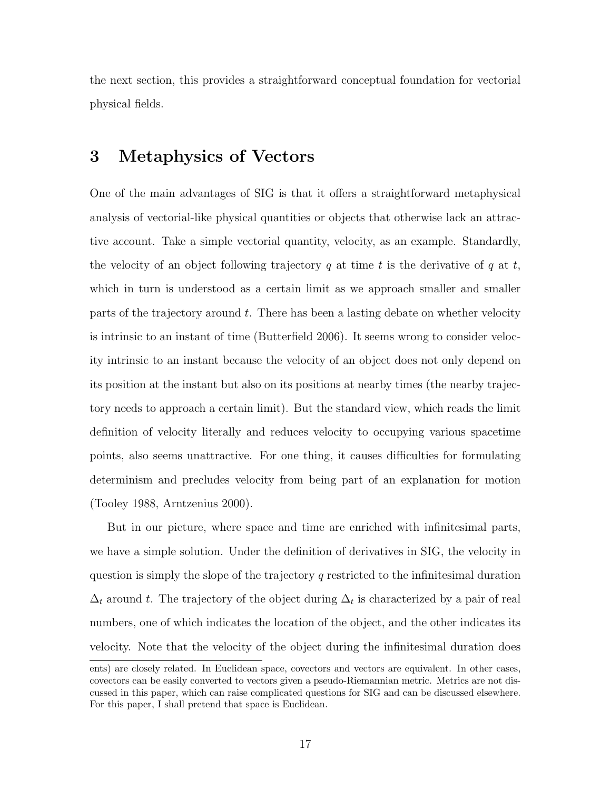the next section, this provides a straightforward conceptual foundation for vectorial physical fields.

## 3 Metaphysics of Vectors

One of the main advantages of SIG is that it offers a straightforward metaphysical analysis of vectorial-like physical quantities or objects that otherwise lack an attractive account. Take a simple vectorial quantity, velocity, as an example. Standardly, the velocity of an object following trajectory q at time t is the derivative of q at t, which in turn is understood as a certain limit as we approach smaller and smaller parts of the trajectory around t. There has been a lasting debate on whether velocity is intrinsic to an instant of time (Butterfield 2006). It seems wrong to consider velocity intrinsic to an instant because the velocity of an object does not only depend on its position at the instant but also on its positions at nearby times (the nearby trajectory needs to approach a certain limit). But the standard view, which reads the limit definition of velocity literally and reduces velocity to occupying various spacetime points, also seems unattractive. For one thing, it causes difficulties for formulating determinism and precludes velocity from being part of an explanation for motion (Tooley 1988, Arntzenius 2000).

But in our picture, where space and time are enriched with infinitesimal parts, we have a simple solution. Under the definition of derivatives in SIG, the velocity in question is simply the slope of the trajectory  $q$  restricted to the infinitesimal duration  $\Delta_t$  around t. The trajectory of the object during  $\Delta_t$  is characterized by a pair of real numbers, one of which indicates the location of the object, and the other indicates its velocity. Note that the velocity of the object during the infinitesimal duration does

ents) are closely related. In Euclidean space, covectors and vectors are equivalent. In other cases, covectors can be easily converted to vectors given a pseudo-Riemannian metric. Metrics are not discussed in this paper, which can raise complicated questions for SIG and can be discussed elsewhere. For this paper, I shall pretend that space is Euclidean.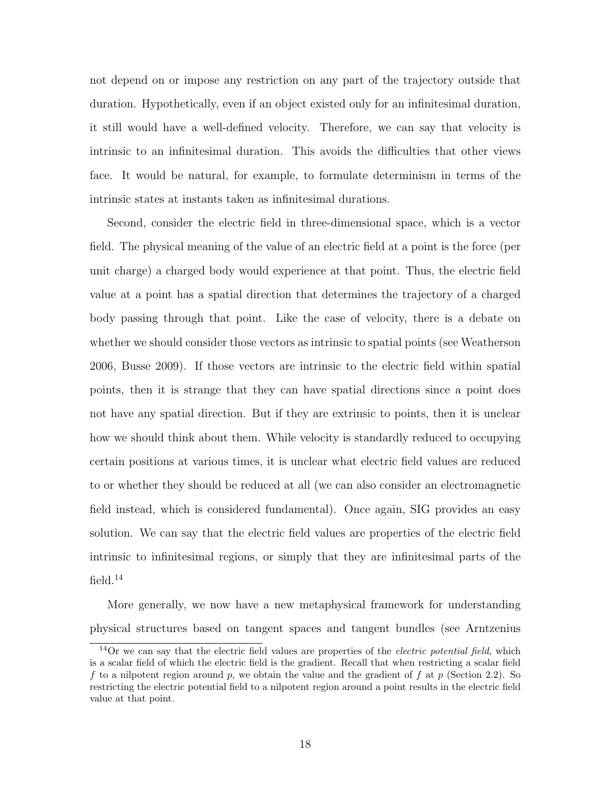not depend on or impose any restriction on any part of the trajectory outside that duration. Hypothetically, even if an object existed only for an infinitesimal duration, it still would have a well-defined velocity. Therefore, we can say that velocity is intrinsic to an infinitesimal duration. This avoids the difficulties that other views face. It would be natural, for example, to formulate determinism in terms of the intrinsic states at instants taken as infinitesimal durations.

Second, consider the electric field in three-dimensional space, which is a vector field. The physical meaning of the value of an electric field at a point is the force (per unit charge) a charged body would experience at that point. Thus, the electric field value at a point has a spatial direction that determines the trajectory of a charged body passing through that point. Like the case of velocity, there is a debate on whether we should consider those vectors as intrinsic to spatial points (see Weatherson 2006, Busse 2009). If those vectors are intrinsic to the electric field within spatial points, then it is strange that they can have spatial directions since a point does not have any spatial direction. But if they are extrinsic to points, then it is unclear how we should think about them. While velocity is standardly reduced to occupying certain positions at various times, it is unclear what electric field values are reduced to or whether they should be reduced at all (we can also consider an electromagnetic field instead, which is considered fundamental). Once again, SIG provides an easy solution. We can say that the electric field values are properties of the electric field intrinsic to infinitesimal regions, or simply that they are infinitesimal parts of the field. $14$ 

More generally, we now have a new metaphysical framework for understanding physical structures based on tangent spaces and tangent bundles (see Arntzenius

 $14$ Or we can say that the electric field values are properties of the *electric potential field*, which is a scalar field of which the electric field is the gradient. Recall that when restricting a scalar field f to a nilpotent region around p, we obtain the value and the gradient of f at p (Section 2.2). So restricting the electric potential field to a nilpotent region around a point results in the electric field value at that point.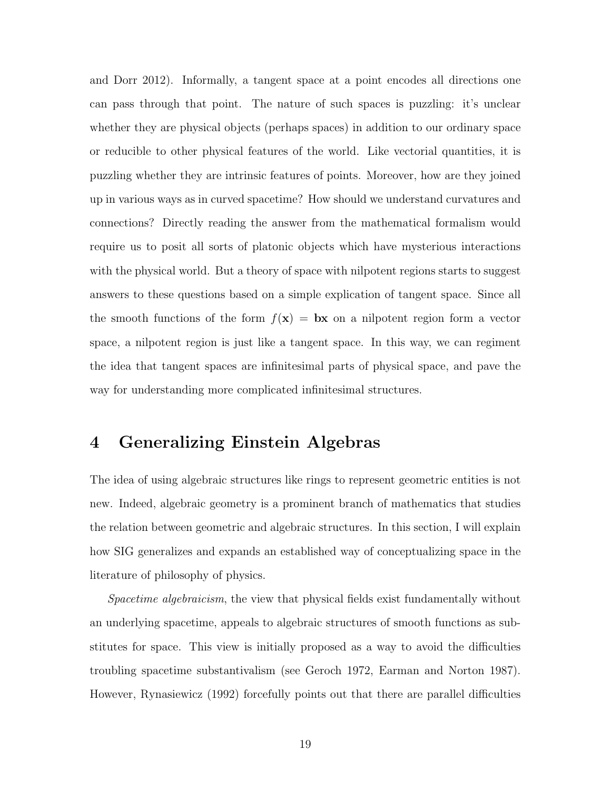and Dorr 2012). Informally, a tangent space at a point encodes all directions one can pass through that point. The nature of such spaces is puzzling: it's unclear whether they are physical objects (perhaps spaces) in addition to our ordinary space or reducible to other physical features of the world. Like vectorial quantities, it is puzzling whether they are intrinsic features of points. Moreover, how are they joined up in various ways as in curved spacetime? How should we understand curvatures and connections? Directly reading the answer from the mathematical formalism would require us to posit all sorts of platonic objects which have mysterious interactions with the physical world. But a theory of space with nilpotent regions starts to suggest answers to these questions based on a simple explication of tangent space. Since all the smooth functions of the form  $f(\mathbf{x}) = \mathbf{b}\mathbf{x}$  on a nilpotent region form a vector space, a nilpotent region is just like a tangent space. In this way, we can regiment the idea that tangent spaces are infinitesimal parts of physical space, and pave the way for understanding more complicated infinitesimal structures.

## 4 Generalizing Einstein Algebras

The idea of using algebraic structures like rings to represent geometric entities is not new. Indeed, algebraic geometry is a prominent branch of mathematics that studies the relation between geometric and algebraic structures. In this section, I will explain how SIG generalizes and expands an established way of conceptualizing space in the literature of philosophy of physics.

Spacetime algebraicism, the view that physical fields exist fundamentally without an underlying spacetime, appeals to algebraic structures of smooth functions as substitutes for space. This view is initially proposed as a way to avoid the difficulties troubling spacetime substantivalism (see Geroch 1972, Earman and Norton 1987). However, Rynasiewicz (1992) forcefully points out that there are parallel difficulties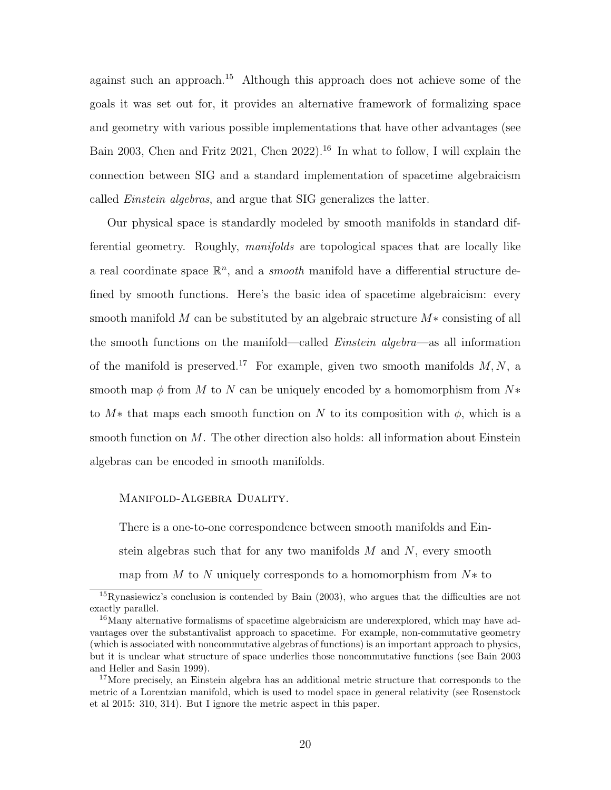against such an approach.<sup>15</sup> Although this approach does not achieve some of the goals it was set out for, it provides an alternative framework of formalizing space and geometry with various possible implementations that have other advantages (see Bain 2003, Chen and Fritz 2021, Chen 2022).<sup>16</sup> In what to follow, I will explain the connection between SIG and a standard implementation of spacetime algebraicism called Einstein algebras, and argue that SIG generalizes the latter.

Our physical space is standardly modeled by smooth manifolds in standard differential geometry. Roughly, manifolds are topological spaces that are locally like a real coordinate space  $\mathbb{R}^n$ , and a *smooth* manifold have a differential structure defined by smooth functions. Here's the basic idea of spacetime algebraicism: every smooth manifold M can be substituted by an algebraic structure  $M*$  consisting of all the smooth functions on the manifold—called Einstein algebra—as all information of the manifold is preserved.<sup>17</sup> For example, given two smooth manifolds  $M, N$ , a smooth map  $\phi$  from M to N can be uniquely encoded by a homomorphism from N $*$ to  $M^*$  that maps each smooth function on N to its composition with  $\phi$ , which is a smooth function on  $M$ . The other direction also holds: all information about Einstein algebras can be encoded in smooth manifolds.

#### MANIFOLD-ALGEBRA DUALITY.

There is a one-to-one correspondence between smooth manifolds and Einstein algebras such that for any two manifolds  $M$  and  $N$ , every smooth map from  $M$  to  $N$  uniquely corresponds to a homomorphism from  $N*$  to

 $^{15}$ Rynasiewicz's conclusion is contended by Bain (2003), who argues that the difficulties are not exactly parallel.

<sup>&</sup>lt;sup>16</sup>Many alternative formalisms of spacetime algebraicism are underexplored, which may have advantages over the substantivalist approach to spacetime. For example, non-commutative geometry (which is associated with noncommutative algebras of functions) is an important approach to physics, but it is unclear what structure of space underlies those noncommutative functions (see Bain 2003 and Heller and Sasin 1999).

<sup>&</sup>lt;sup>17</sup>More precisely, an Einstein algebra has an additional metric structure that corresponds to the metric of a Lorentzian manifold, which is used to model space in general relativity (see Rosenstock et al 2015: 310, 314). But I ignore the metric aspect in this paper.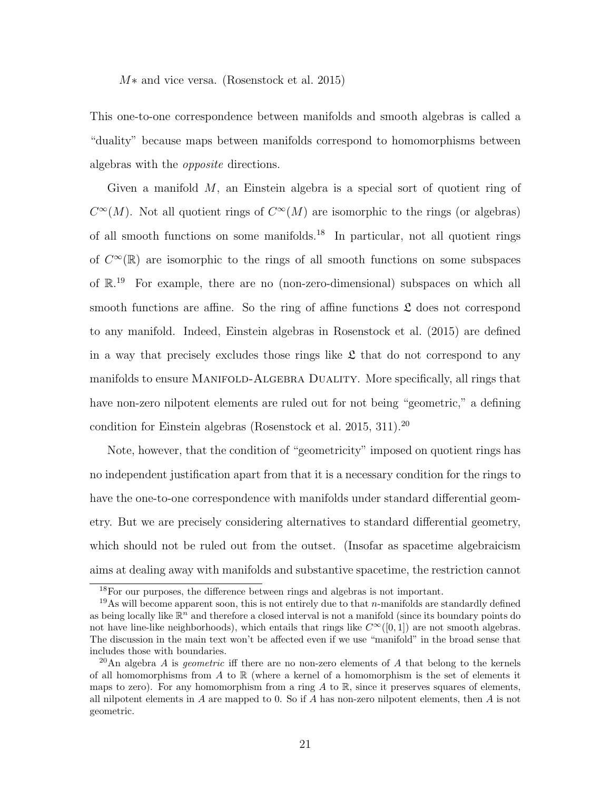M∗ and vice versa. (Rosenstock et al. 2015)

This one-to-one correspondence between manifolds and smooth algebras is called a "duality" because maps between manifolds correspond to homomorphisms between algebras with the opposite directions.

Given a manifold  $M$ , an Einstein algebra is a special sort of quotient ring of  $C^{\infty}(M)$ . Not all quotient rings of  $C^{\infty}(M)$  are isomorphic to the rings (or algebras) of all smooth functions on some manifolds.<sup>18</sup> In particular, not all quotient rings of  $C^{\infty}(\mathbb{R})$  are isomorphic to the rings of all smooth functions on some subspaces of  $\mathbb{R}^{19}$  For example, there are no (non-zero-dimensional) subspaces on which all smooth functions are affine. So the ring of affine functions  $\mathfrak L$  does not correspond to any manifold. Indeed, Einstein algebras in Rosenstock et al. (2015) are defined in a way that precisely excludes those rings like  $\mathfrak L$  that do not correspond to any manifolds to ensure Manifold-Algebra Duality. More specifically, all rings that have non-zero nilpotent elements are ruled out for not being "geometric," a defining condition for Einstein algebras (Rosenstock et al. 2015, 311).<sup>20</sup>

Note, however, that the condition of "geometricity" imposed on quotient rings has no independent justification apart from that it is a necessary condition for the rings to have the one-to-one correspondence with manifolds under standard differential geometry. But we are precisely considering alternatives to standard differential geometry, which should not be ruled out from the outset. (Insofar as spacetime algebraicism aims at dealing away with manifolds and substantive spacetime, the restriction cannot

<sup>18</sup>For our purposes, the difference between rings and algebras is not important.

<sup>&</sup>lt;sup>19</sup>As will become apparent soon, this is not entirely due to that *n*-manifolds are standardly defined as being locally like  $\mathbb{R}^n$  and therefore a closed interval is not a manifold (since its boundary points do not have line-like neighborhoods), which entails that rings like  $C^{\infty}([0,1])$  are not smooth algebras. The discussion in the main text won't be affected even if we use "manifold" in the broad sense that includes those with boundaries.

<sup>&</sup>lt;sup>20</sup>An algebra A is *geometric* iff there are no non-zero elements of A that belong to the kernels of all homomorphisms from A to  $\mathbb R$  (where a kernel of a homomorphism is the set of elements it maps to zero). For any homomorphism from a ring  $A$  to  $\mathbb{R}$ , since it preserves squares of elements, all nilpotent elements in  $A$  are mapped to 0. So if  $A$  has non-zero nilpotent elements, then  $A$  is not geometric.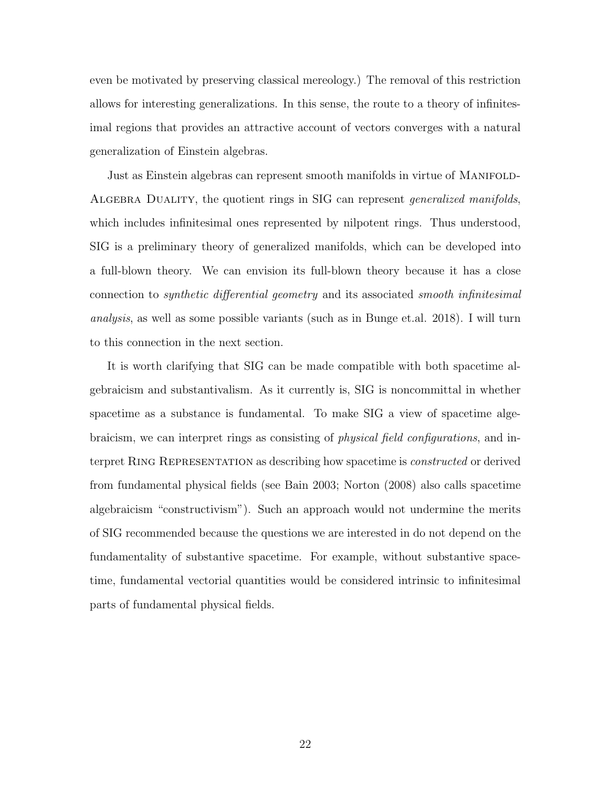even be motivated by preserving classical mereology.) The removal of this restriction allows for interesting generalizations. In this sense, the route to a theory of infinitesimal regions that provides an attractive account of vectors converges with a natural generalization of Einstein algebras.

Just as Einstein algebras can represent smooth manifolds in virtue of Manifold-ALGEBRA DUALITY, the quotient rings in SIG can represent *generalized manifolds*, which includes infinitesimal ones represented by nilpotent rings. Thus understood, SIG is a preliminary theory of generalized manifolds, which can be developed into a full-blown theory. We can envision its full-blown theory because it has a close connection to synthetic differential geometry and its associated smooth infinitesimal analysis, as well as some possible variants (such as in Bunge et.al. 2018). I will turn to this connection in the next section.

It is worth clarifying that SIG can be made compatible with both spacetime algebraicism and substantivalism. As it currently is, SIG is noncommittal in whether spacetime as a substance is fundamental. To make SIG a view of spacetime algebraicism, we can interpret rings as consisting of physical field configurations, and interpret RING REPRESENTATION as describing how spacetime is *constructed* or derived from fundamental physical fields (see Bain 2003; Norton (2008) also calls spacetime algebraicism "constructivism"). Such an approach would not undermine the merits of SIG recommended because the questions we are interested in do not depend on the fundamentality of substantive spacetime. For example, without substantive spacetime, fundamental vectorial quantities would be considered intrinsic to infinitesimal parts of fundamental physical fields.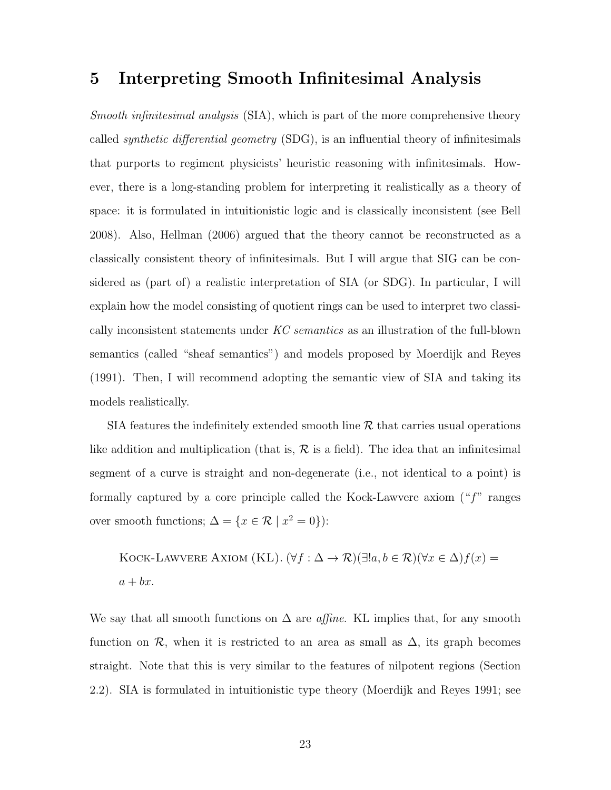#### 5 Interpreting Smooth Infinitesimal Analysis

Smooth infinitesimal analysis (SIA), which is part of the more comprehensive theory called *synthetic differential geometry* (SDG), is an influential theory of infinitesimals that purports to regiment physicists' heuristic reasoning with infinitesimals. However, there is a long-standing problem for interpreting it realistically as a theory of space: it is formulated in intuitionistic logic and is classically inconsistent (see Bell 2008). Also, Hellman (2006) argued that the theory cannot be reconstructed as a classically consistent theory of infinitesimals. But I will argue that SIG can be considered as (part of) a realistic interpretation of SIA (or SDG). In particular, I will explain how the model consisting of quotient rings can be used to interpret two classically inconsistent statements under KC semantics as an illustration of the full-blown semantics (called "sheaf semantics") and models proposed by Moerdijk and Reyes (1991). Then, I will recommend adopting the semantic view of SIA and taking its models realistically.

SIA features the indefinitely extended smooth line  $R$  that carries usual operations like addition and multiplication (that is,  $\mathcal R$  is a field). The idea that an infinitesimal segment of a curve is straight and non-degenerate (i.e., not identical to a point) is formally captured by a core principle called the Kock-Lawvere axiom  $($ " $f$ " ranges over smooth functions;  $\Delta = \{x \in \mathcal{R} \mid x^2 = 0\}$ :

KOCK-LAWVERE AXIOM (KL).  $(\forall f : \Delta \to \mathcal{R})(\exists ! a, b \in \mathcal{R})(\forall x \in \Delta) f(x) =$  $a + bx$ .

We say that all smooth functions on  $\Delta$  are *affine*. KL implies that, for any smooth function on  $\mathcal{R}$ , when it is restricted to an area as small as  $\Delta$ , its graph becomes straight. Note that this is very similar to the features of nilpotent regions (Section 2.2). SIA is formulated in intuitionistic type theory (Moerdijk and Reyes 1991; see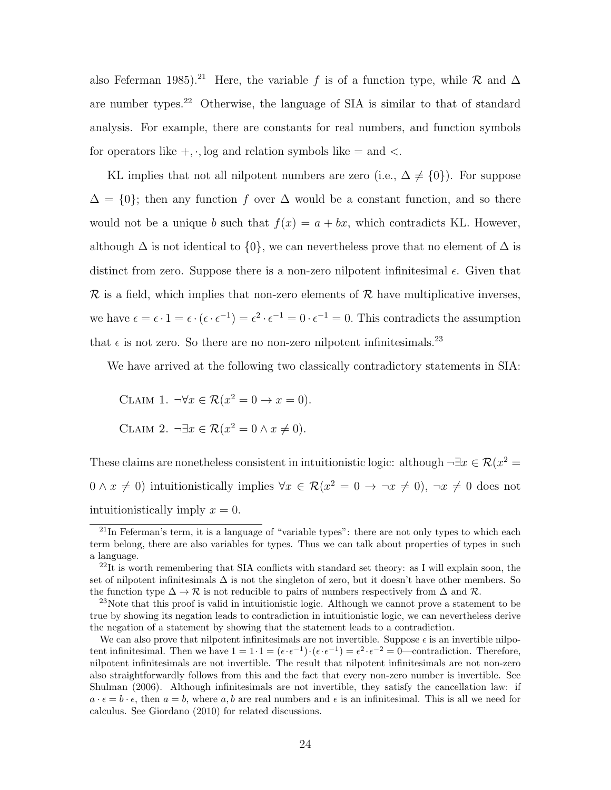also Feferman 1985).<sup>21</sup> Here, the variable f is of a function type, while R and  $\Delta$ are number types.<sup>22</sup> Otherwise, the language of SIA is similar to that of standard analysis. For example, there are constants for real numbers, and function symbols for operators like  $+, \cdot$ , log and relation symbols like  $=$  and  $\lt$ .

KL implies that not all nilpotent numbers are zero (i.e.,  $\Delta \neq \{0\}$ ). For suppose  $\Delta = \{0\}$ ; then any function f over  $\Delta$  would be a constant function, and so there would not be a unique b such that  $f(x) = a + bx$ , which contradicts KL. However, although  $\Delta$  is not identical to  $\{0\}$ , we can nevertheless prove that no element of  $\Delta$  is distinct from zero. Suppose there is a non-zero nilpotent infinitesimal  $\epsilon$ . Given that  $\mathcal R$  is a field, which implies that non-zero elements of  $\mathcal R$  have multiplicative inverses, we have  $\epsilon = \epsilon \cdot 1 = \epsilon \cdot (\epsilon \cdot \epsilon^{-1}) = \epsilon^2 \cdot \epsilon^{-1} = 0 \cdot \epsilon^{-1} = 0$ . This contradicts the assumption that  $\epsilon$  is not zero. So there are no non-zero nilpotent infinitesimals.  $^{23}$ 

We have arrived at the following two classically contradictory statements in SIA:

CLAIM 1.  $\neg \forall x \in \mathcal{R}(x^2 = 0 \rightarrow x = 0).$ CLAIM 2.  $\neg \exists x \in \mathcal{R}(x^2 = 0 \land x \neq 0).$ 

These claims are nonetheless consistent in intuitionistic logic: although  $\neg \exists x \in \mathcal{R}(x^2 =$  $0 \wedge x \neq 0$  intuitionistically implies  $\forall x \in \mathcal{R}(x^2 = 0 \to \neg x \neq 0)$ ,  $\neg x \neq 0$  does not intuitionistically imply  $x = 0$ .

<sup>21</sup>In Feferman's term, it is a language of "variable types": there are not only types to which each term belong, there are also variables for types. Thus we can talk about properties of types in such a language.

 $^{22}$ It is worth remembering that SIA conflicts with standard set theory: as I will explain soon, the set of nilpotent infinitesimals  $\Delta$  is not the singleton of zero, but it doesn't have other members. So the function type  $\Delta \to \mathcal{R}$  is not reducible to pairs of numbers respectively from  $\Delta$  and  $\mathcal{R}$ .

<sup>&</sup>lt;sup>23</sup>Note that this proof is valid in intuitionistic logic. Although we cannot prove a statement to be true by showing its negation leads to contradiction in intuitionistic logic, we can nevertheless derive the negation of a statement by showing that the statement leads to a contradiction.

We can also prove that nilpotent infinitesimals are not invertible. Suppose  $\epsilon$  is an invertible nilpotent infinitesimal. Then we have  $1 = 1 \cdot 1 = (\epsilon \cdot \epsilon^{-1}) \cdot (\epsilon \cdot \epsilon^{-1}) = \epsilon^2 \cdot \epsilon^{-2} = 0$ —contradiction. Therefore, nilpotent infinitesimals are not invertible. The result that nilpotent infinitesimals are not non-zero also straightforwardly follows from this and the fact that every non-zero number is invertible. See Shulman (2006). Although infinitesimals are not invertible, they satisfy the cancellation law: if  $a \cdot \epsilon = b \cdot \epsilon$ , then  $a = b$ , where a, b are real numbers and  $\epsilon$  is an infinitesimal. This is all we need for calculus. See Giordano (2010) for related discussions.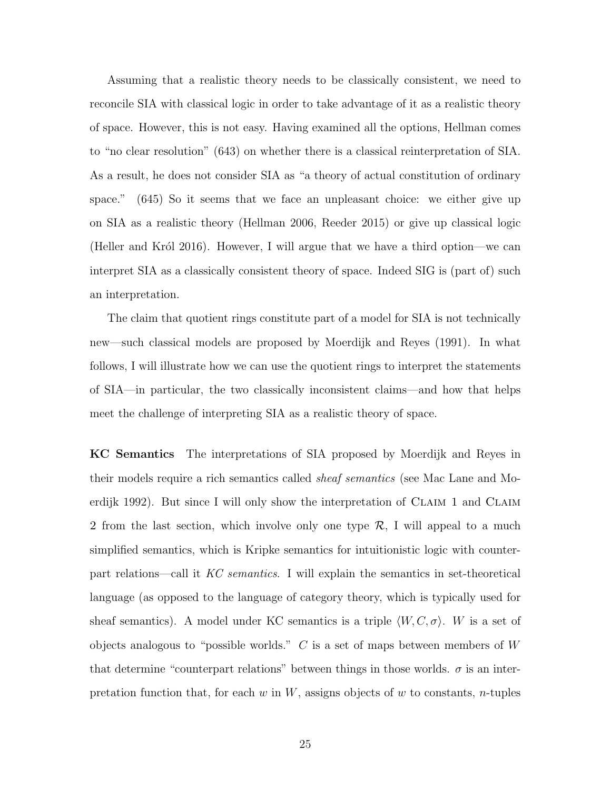Assuming that a realistic theory needs to be classically consistent, we need to reconcile SIA with classical logic in order to take advantage of it as a realistic theory of space. However, this is not easy. Having examined all the options, Hellman comes to "no clear resolution" (643) on whether there is a classical reinterpretation of SIA. As a result, he does not consider SIA as "a theory of actual constitution of ordinary space." (645) So it seems that we face an unpleasant choice: we either give up on SIA as a realistic theory (Hellman 2006, Reeder 2015) or give up classical logic (Heller and Król 2016). However, I will argue that we have a third option—we can interpret SIA as a classically consistent theory of space. Indeed SIG is (part of) such an interpretation.

The claim that quotient rings constitute part of a model for SIA is not technically new—such classical models are proposed by Moerdijk and Reyes (1991). In what follows, I will illustrate how we can use the quotient rings to interpret the statements of SIA—in particular, the two classically inconsistent claims—and how that helps meet the challenge of interpreting SIA as a realistic theory of space.

KC Semantics The interpretations of SIA proposed by Moerdijk and Reyes in their models require a rich semantics called sheaf semantics (see Mac Lane and Moerdijk 1992). But since I will only show the interpretation of CLAIM 1 and CLAIM 2 from the last section, which involve only one type  $\mathcal{R}$ , I will appeal to a much simplified semantics, which is Kripke semantics for intuitionistic logic with counterpart relations—call it KC semantics. I will explain the semantics in set-theoretical language (as opposed to the language of category theory, which is typically used for sheaf semantics). A model under KC semantics is a triple  $\langle W, C, \sigma \rangle$ . W is a set of objects analogous to "possible worlds."  $C$  is a set of maps between members of W that determine "counterpart relations" between things in those worlds.  $\sigma$  is an interpretation function that, for each w in  $W$ , assigns objects of w to constants, n-tuples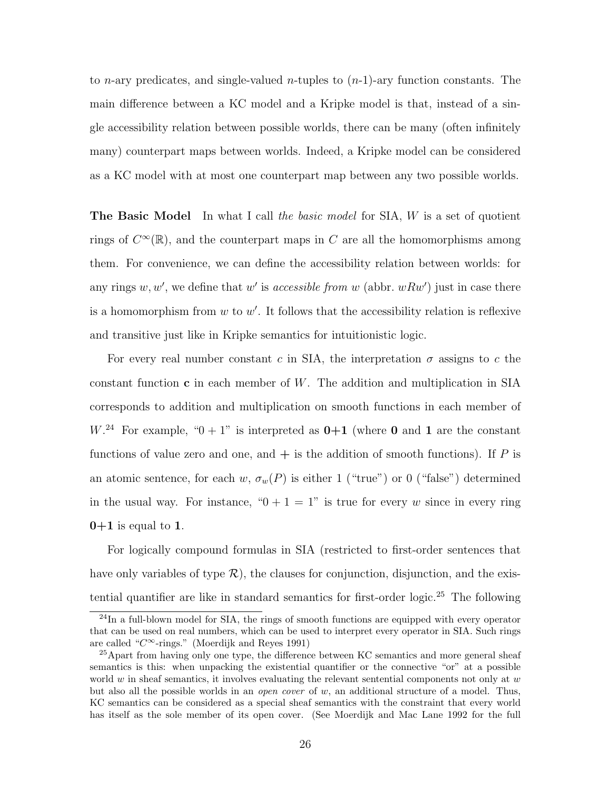to *n*-ary predicates, and single-valued *n*-tuples to  $(n-1)$ -ary function constants. The main difference between a KC model and a Kripke model is that, instead of a single accessibility relation between possible worlds, there can be many (often infinitely many) counterpart maps between worlds. Indeed, a Kripke model can be considered as a KC model with at most one counterpart map between any two possible worlds.

**The Basic Model** In what I call the basic model for SIA, W is a set of quotient rings of  $C^{\infty}(\mathbb{R})$ , and the counterpart maps in C are all the homomorphisms among them. For convenience, we can define the accessibility relation between worlds: for any rings  $w, w'$ , we define that w' is *accessible from w* (abbr.  $wRw'$ ) just in case there is a homomorphism from  $w$  to  $w'$ . It follows that the accessibility relation is reflexive and transitive just like in Kripke semantics for intuitionistic logic.

For every real number constant c in SIA, the interpretation  $\sigma$  assigns to c the constant function  $\bf{c}$  in each member of W. The addition and multiplication in SIA corresponds to addition and multiplication on smooth functions in each member of  $W^{24}$  For example, " $0+1$ " is interpreted as  $0+1$  (where 0 and 1 are the constant functions of value zero and one, and  $+$  is the addition of smooth functions). If P is an atomic sentence, for each w,  $\sigma_w(P)$  is either 1 ("true") or 0 ("false") determined in the usual way. For instance, " $0 + 1 = 1$ " is true for every w since in every ring  $0+1$  is equal to 1.

For logically compound formulas in SIA (restricted to first-order sentences that have only variables of type  $\mathcal{R}$ ), the clauses for conjunction, disjunction, and the existential quantifier are like in standard semantics for first-order logic.<sup>25</sup> The following

<sup>&</sup>lt;sup>24</sup>In a full-blown model for SIA, the rings of smooth functions are equipped with every operator that can be used on real numbers, which can be used to interpret every operator in SIA. Such rings are called " $C^{\infty}$ -rings." (Moerdijk and Reyes 1991)

<sup>&</sup>lt;sup>25</sup>Apart from having only one type, the difference between KC semantics and more general sheaf semantics is this: when unpacking the existential quantifier or the connective "or" at a possible world  $w$  in sheaf semantics, it involves evaluating the relevant sentential components not only at  $w$ but also all the possible worlds in an open cover of w, an additional structure of a model. Thus, KC semantics can be considered as a special sheaf semantics with the constraint that every world has itself as the sole member of its open cover. (See Moerdijk and Mac Lane 1992 for the full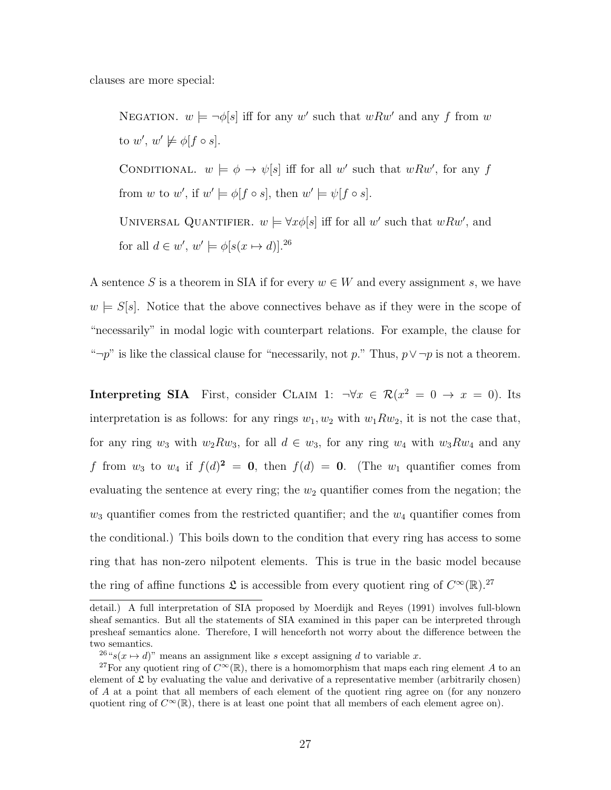clauses are more special:

NEGATION.  $w \models \neg \phi[s]$  iff for any w' such that  $wRw'$  and any f from w to  $w', w' \not\models \phi[f \circ s].$ CONDITIONAL.  $w \models \phi \rightarrow \psi[s]$  iff for all w' such that wRw', for any f from w to w', if  $w' \models \phi[f \circ s]$ , then  $w' \models \psi[f \circ s]$ . UNIVERSAL QUANTIFIER.  $w \models \forall x \phi[s]$  iff for all w' such that  $wRw'$ , and for all  $d \in w'$ ,  $w' \models \phi[s(x \mapsto d)]^{26}$ 

A sentence S is a theorem in SIA if for every  $w \in W$  and every assignment s, we have  $w \models S[s]$ . Notice that the above connectives behave as if they were in the scope of "necessarily" in modal logic with counterpart relations. For example, the clause for " $\neg p$ " is like the classical clause for "necessarily, not p." Thus,  $p \vee \neg p$  is not a theorem.

Interpreting SIA First, consider CLAIM 1:  $\neg \forall x \in \mathcal{R}(x^2 = 0 \rightarrow x = 0)$ . Its interpretation is as follows: for any rings  $w_1, w_2$  with  $w_1 R w_2$ , it is not the case that, for any ring  $w_3$  with  $w_2Rw_3$ , for all  $d \in w_3$ , for any ring  $w_4$  with  $w_3Rw_4$  and any f from  $w_3$  to  $w_4$  if  $f(d)^2 = 0$ , then  $f(d) = 0$ . (The  $w_1$  quantifier comes from evaluating the sentence at every ring; the  $w_2$  quantifier comes from the negation; the  $w_3$  quantifier comes from the restricted quantifier; and the  $w_4$  quantifier comes from the conditional.) This boils down to the condition that every ring has access to some ring that has non-zero nilpotent elements. This is true in the basic model because the ring of affine functions  $\mathfrak L$  is accessible from every quotient ring of  $C^{\infty}(\mathbb{R})$ .<sup>27</sup>

detail.) A full interpretation of SIA proposed by Moerdijk and Reyes (1991) involves full-blown sheaf semantics. But all the statements of SIA examined in this paper can be interpreted through presheaf semantics alone. Therefore, I will henceforth not worry about the difference between the two semantics.

<sup>&</sup>lt;sup>26</sup>"s( $x \mapsto d$ )" means an assignment like s except assigning d to variable x.

<sup>&</sup>lt;sup>27</sup>For any quotient ring of  $C^{\infty}(\mathbb{R})$ , there is a homomorphism that maps each ring element A to an element of  $\mathfrak L$  by evaluating the value and derivative of a representative member (arbitrarily chosen) of A at a point that all members of each element of the quotient ring agree on (for any nonzero quotient ring of  $C^{\infty}(\mathbb{R})$ , there is at least one point that all members of each element agree on).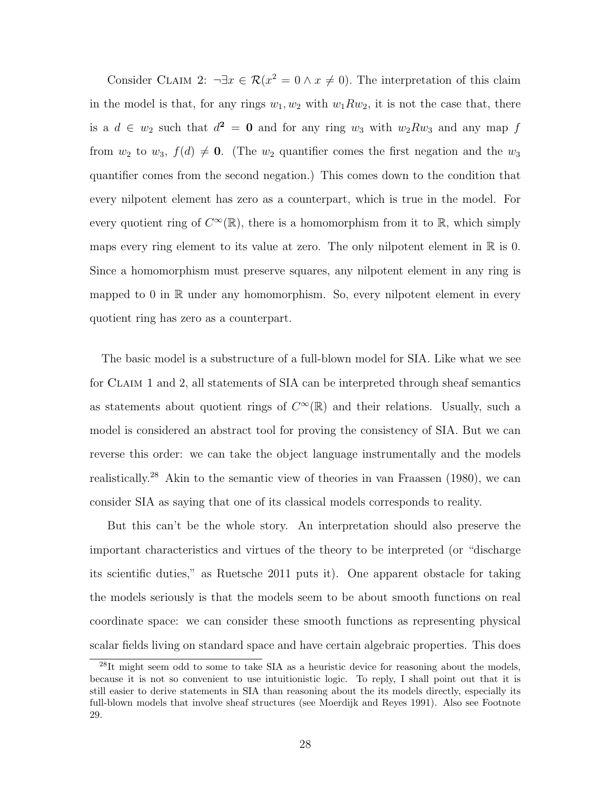Consider CLAIM 2:  $\neg \exists x \in \mathcal{R}(x^2 = 0 \land x \neq 0)$ . The interpretation of this claim in the model is that, for any rings  $w_1, w_2$  with  $w_1 R w_2$ , it is not the case that, there is a  $d \in w_2$  such that  $d^2 = 0$  and for any ring  $w_3$  with  $w_2 R w_3$  and any map f from  $w_2$  to  $w_3$ ,  $f(d) \neq 0$ . (The  $w_2$  quantifier comes the first negation and the  $w_3$ quantifier comes from the second negation.) This comes down to the condition that every nilpotent element has zero as a counterpart, which is true in the model. For every quotient ring of  $C^{\infty}(\mathbb{R})$ , there is a homomorphism from it to  $\mathbb{R}$ , which simply maps every ring element to its value at zero. The only nilpotent element in  $\mathbb R$  is 0. Since a homomorphism must preserve squares, any nilpotent element in any ring is mapped to  $0$  in  $\mathbb R$  under any homomorphism. So, every nilpotent element in every quotient ring has zero as a counterpart.

The basic model is a substructure of a full-blown model for SIA. Like what we see for Claim 1 and 2, all statements of SIA can be interpreted through sheaf semantics as statements about quotient rings of  $C^{\infty}(\mathbb{R})$  and their relations. Usually, such a model is considered an abstract tool for proving the consistency of SIA. But we can reverse this order: we can take the object language instrumentally and the models realistically.<sup>28</sup> Akin to the semantic view of theories in van Fraassen (1980), we can consider SIA as saying that one of its classical models corresponds to reality.

But this can't be the whole story. An interpretation should also preserve the important characteristics and virtues of the theory to be interpreted (or "discharge its scientific duties," as Ruetsche 2011 puts it). One apparent obstacle for taking the models seriously is that the models seem to be about smooth functions on real coordinate space: we can consider these smooth functions as representing physical scalar fields living on standard space and have certain algebraic properties. This does

<sup>&</sup>lt;sup>28</sup>It might seem odd to some to take SIA as a heuristic device for reasoning about the models, because it is not so convenient to use intuitionistic logic. To reply, I shall point out that it is still easier to derive statements in SIA than reasoning about the its models directly, especially its full-blown models that involve sheaf structures (see Moerdijk and Reyes 1991). Also see Footnote 29.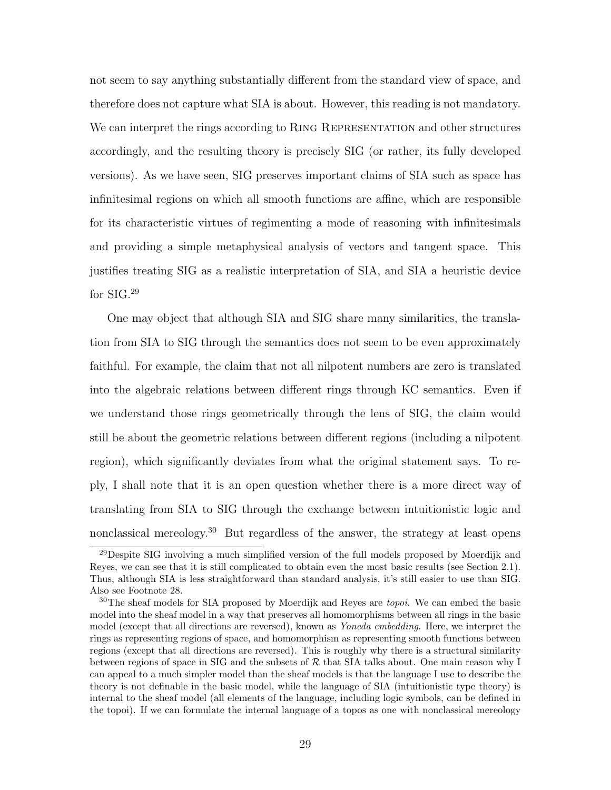not seem to say anything substantially different from the standard view of space, and therefore does not capture what SIA is about. However, this reading is not mandatory. We can interpret the rings according to RING REPRESENTATION and other structures accordingly, and the resulting theory is precisely SIG (or rather, its fully developed versions). As we have seen, SIG preserves important claims of SIA such as space has infinitesimal regions on which all smooth functions are affine, which are responsible for its characteristic virtues of regimenting a mode of reasoning with infinitesimals and providing a simple metaphysical analysis of vectors and tangent space. This justifies treating SIG as a realistic interpretation of SIA, and SIA a heuristic device for SIG.<sup>29</sup>

One may object that although SIA and SIG share many similarities, the translation from SIA to SIG through the semantics does not seem to be even approximately faithful. For example, the claim that not all nilpotent numbers are zero is translated into the algebraic relations between different rings through KC semantics. Even if we understand those rings geometrically through the lens of SIG, the claim would still be about the geometric relations between different regions (including a nilpotent region), which significantly deviates from what the original statement says. To reply, I shall note that it is an open question whether there is a more direct way of translating from SIA to SIG through the exchange between intuitionistic logic and nonclassical mereology.<sup>30</sup> But regardless of the answer, the strategy at least opens

<sup>29</sup>Despite SIG involving a much simplified version of the full models proposed by Moerdijk and Reyes, we can see that it is still complicated to obtain even the most basic results (see Section 2.1). Thus, although SIA is less straightforward than standard analysis, it's still easier to use than SIG. Also see Footnote 28.

<sup>&</sup>lt;sup>30</sup>The sheaf models for SIA proposed by Moerdijk and Reyes are *topoi*. We can embed the basic model into the sheaf model in a way that preserves all homomorphisms between all rings in the basic model (except that all directions are reversed), known as Yoneda embedding. Here, we interpret the rings as representing regions of space, and homomorphism as representing smooth functions between regions (except that all directions are reversed). This is roughly why there is a structural similarity between regions of space in SIG and the subsets of  $R$  that SIA talks about. One main reason why I can appeal to a much simpler model than the sheaf models is that the language I use to describe the theory is not definable in the basic model, while the language of SIA (intuitionistic type theory) is internal to the sheaf model (all elements of the language, including logic symbols, can be defined in the topoi). If we can formulate the internal language of a topos as one with nonclassical mereology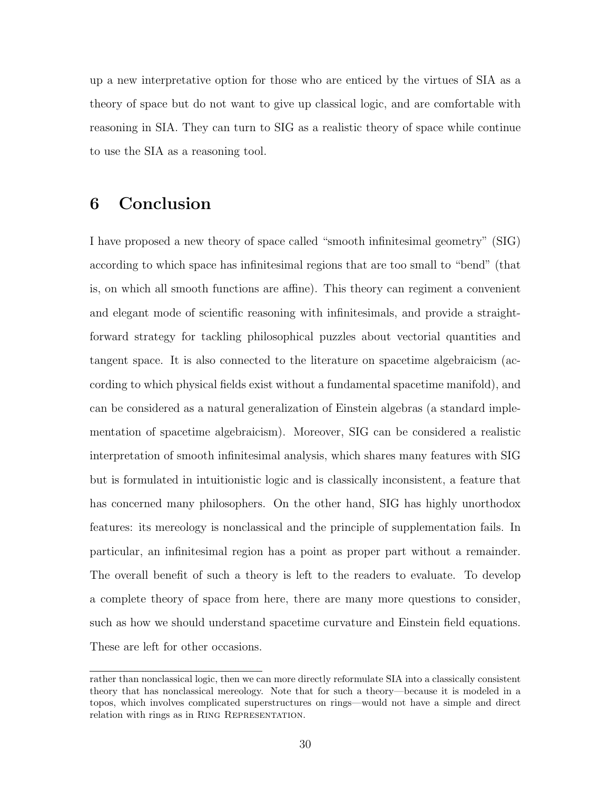up a new interpretative option for those who are enticed by the virtues of SIA as a theory of space but do not want to give up classical logic, and are comfortable with reasoning in SIA. They can turn to SIG as a realistic theory of space while continue to use the SIA as a reasoning tool.

#### 6 Conclusion

I have proposed a new theory of space called "smooth infinitesimal geometry" (SIG) according to which space has infinitesimal regions that are too small to "bend" (that is, on which all smooth functions are affine). This theory can regiment a convenient and elegant mode of scientific reasoning with infinitesimals, and provide a straightforward strategy for tackling philosophical puzzles about vectorial quantities and tangent space. It is also connected to the literature on spacetime algebraicism (according to which physical fields exist without a fundamental spacetime manifold), and can be considered as a natural generalization of Einstein algebras (a standard implementation of spacetime algebraicism). Moreover, SIG can be considered a realistic interpretation of smooth infinitesimal analysis, which shares many features with SIG but is formulated in intuitionistic logic and is classically inconsistent, a feature that has concerned many philosophers. On the other hand, SIG has highly unorthodox features: its mereology is nonclassical and the principle of supplementation fails. In particular, an infinitesimal region has a point as proper part without a remainder. The overall benefit of such a theory is left to the readers to evaluate. To develop a complete theory of space from here, there are many more questions to consider, such as how we should understand spacetime curvature and Einstein field equations. These are left for other occasions.

rather than nonclassical logic, then we can more directly reformulate SIA into a classically consistent theory that has nonclassical mereology. Note that for such a theory—because it is modeled in a topos, which involves complicated superstructures on rings—would not have a simple and direct relation with rings as in Ring Representation.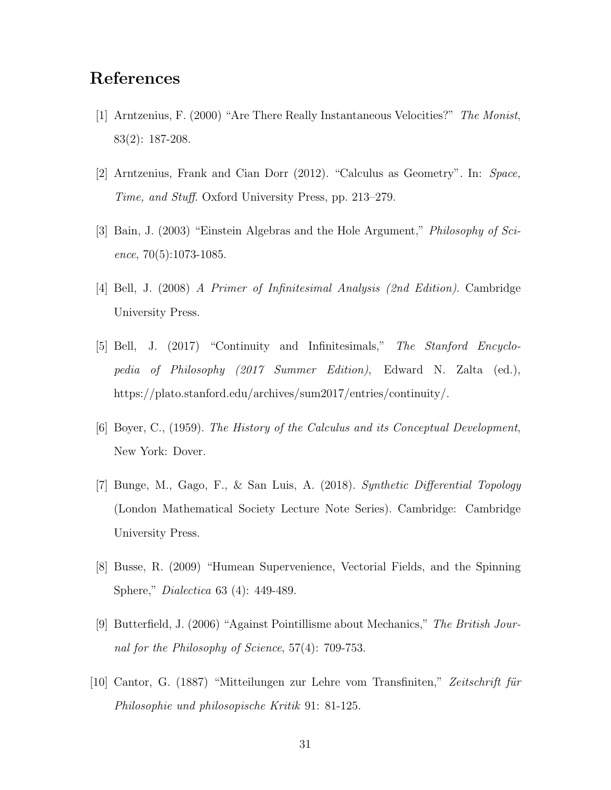# References

- [1] Arntzenius, F. (2000) "Are There Really Instantaneous Velocities?" The Monist, 83(2): 187-208.
- [2] Arntzenius, Frank and Cian Dorr (2012). "Calculus as Geometry". In: Space, Time, and Stuff. Oxford University Press, pp. 213–279.
- [3] Bain, J. (2003) "Einstein Algebras and the Hole Argument," Philosophy of Science, 70(5):1073-1085.
- [4] Bell, J. (2008) A Primer of Infinitesimal Analysis (2nd Edition). Cambridge University Press.
- [5] Bell, J. (2017) "Continuity and Infinitesimals," The Stanford Encyclopedia of Philosophy (2017 Summer Edition), Edward N. Zalta (ed.), https://plato.stanford.edu/archives/sum2017/entries/continuity/.
- [6] Boyer, C., (1959). The History of the Calculus and its Conceptual Development, New York: Dover.
- [7] Bunge, M., Gago, F., & San Luis, A. (2018). Synthetic Differential Topology (London Mathematical Society Lecture Note Series). Cambridge: Cambridge University Press.
- [8] Busse, R. (2009) "Humean Supervenience, Vectorial Fields, and the Spinning Sphere," Dialectica 63 (4): 449-489.
- [9] Butterfield, J. (2006) "Against Pointillisme about Mechanics," The British Journal for the Philosophy of Science, 57(4): 709-753.
- [10] Cantor, G. (1887) "Mitteilungen zur Lehre vom Transfiniten," Zeitschrift für Philosophie und philosopische Kritik 91: 81-125.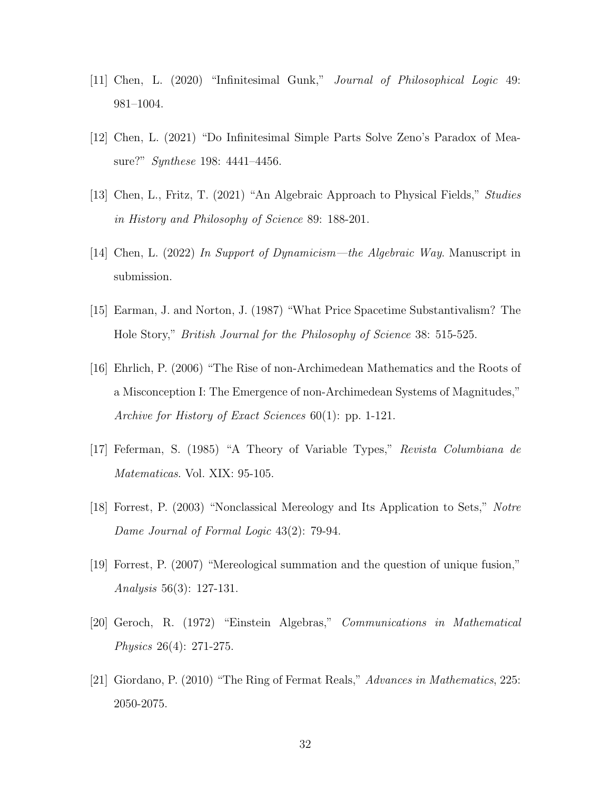- [11] Chen, L. (2020) "Infinitesimal Gunk," Journal of Philosophical Logic 49: 981–1004.
- [12] Chen, L. (2021) "Do Infinitesimal Simple Parts Solve Zeno's Paradox of Measure?" Synthese 198: 4441–4456.
- [13] Chen, L., Fritz, T. (2021) "An Algebraic Approach to Physical Fields," Studies in History and Philosophy of Science 89: 188-201.
- [14] Chen, L. (2022) In Support of Dynamicism—the Algebraic Way. Manuscript in submission.
- [15] Earman, J. and Norton, J. (1987) "What Price Spacetime Substantivalism? The Hole Story," British Journal for the Philosophy of Science 38: 515-525.
- [16] Ehrlich, P. (2006) "The Rise of non-Archimedean Mathematics and the Roots of a Misconception I: The Emergence of non-Archimedean Systems of Magnitudes," Archive for History of Exact Sciences 60(1): pp. 1-121.
- [17] Feferman, S. (1985) "A Theory of Variable Types," Revista Columbiana de Matematicas. Vol. XIX: 95-105.
- [18] Forrest, P. (2003) "Nonclassical Mereology and Its Application to Sets," Notre Dame Journal of Formal Logic 43(2): 79-94.
- [19] Forrest, P. (2007) "Mereological summation and the question of unique fusion," Analysis 56(3): 127-131.
- [20] Geroch, R. (1972) "Einstein Algebras," Communications in Mathematical Physics 26(4): 271-275.
- [21] Giordano, P. (2010) "The Ring of Fermat Reals," Advances in Mathematics, 225: 2050-2075.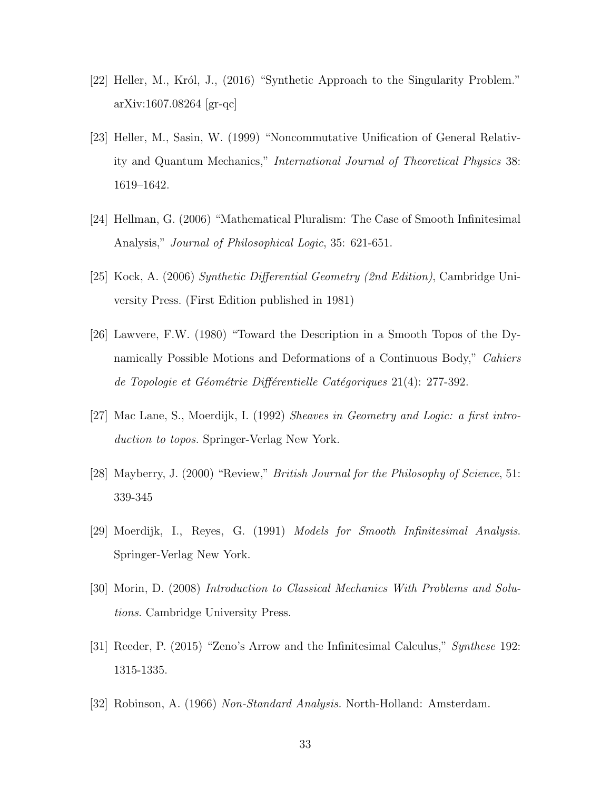- [22] Heller, M., Król, J.,  $(2016)$  "Synthetic Approach to the Singularity Problem." arXiv:1607.08264 [gr-qc]
- [23] Heller, M., Sasin, W. (1999) "Noncommutative Unification of General Relativity and Quantum Mechanics," International Journal of Theoretical Physics 38: 1619–1642.
- [24] Hellman, G. (2006) "Mathematical Pluralism: The Case of Smooth Infinitesimal Analysis," Journal of Philosophical Logic, 35: 621-651.
- [25] Kock, A. (2006) Synthetic Differential Geometry (2nd Edition), Cambridge University Press. (First Edition published in 1981)
- [26] Lawvere, F.W. (1980) "Toward the Description in a Smooth Topos of the Dynamically Possible Motions and Deformations of a Continuous Body," Cahiers de Topologie et Géométrie Différentielle Catégoriques 21(4): 277-392.
- [27] Mac Lane, S., Moerdijk, I. (1992) Sheaves in Geometry and Logic: a first introduction to topos. Springer-Verlag New York.
- [28] Mayberry, J. (2000) "Review," British Journal for the Philosophy of Science, 51: 339-345
- [29] Moerdijk, I., Reyes, G. (1991) Models for Smooth Infinitesimal Analysis. Springer-Verlag New York.
- [30] Morin, D. (2008) Introduction to Classical Mechanics With Problems and Solutions. Cambridge University Press.
- [31] Reeder, P. (2015) "Zeno's Arrow and the Infinitesimal Calculus," Synthese 192: 1315-1335.
- [32] Robinson, A. (1966) Non-Standard Analysis. North-Holland: Amsterdam.